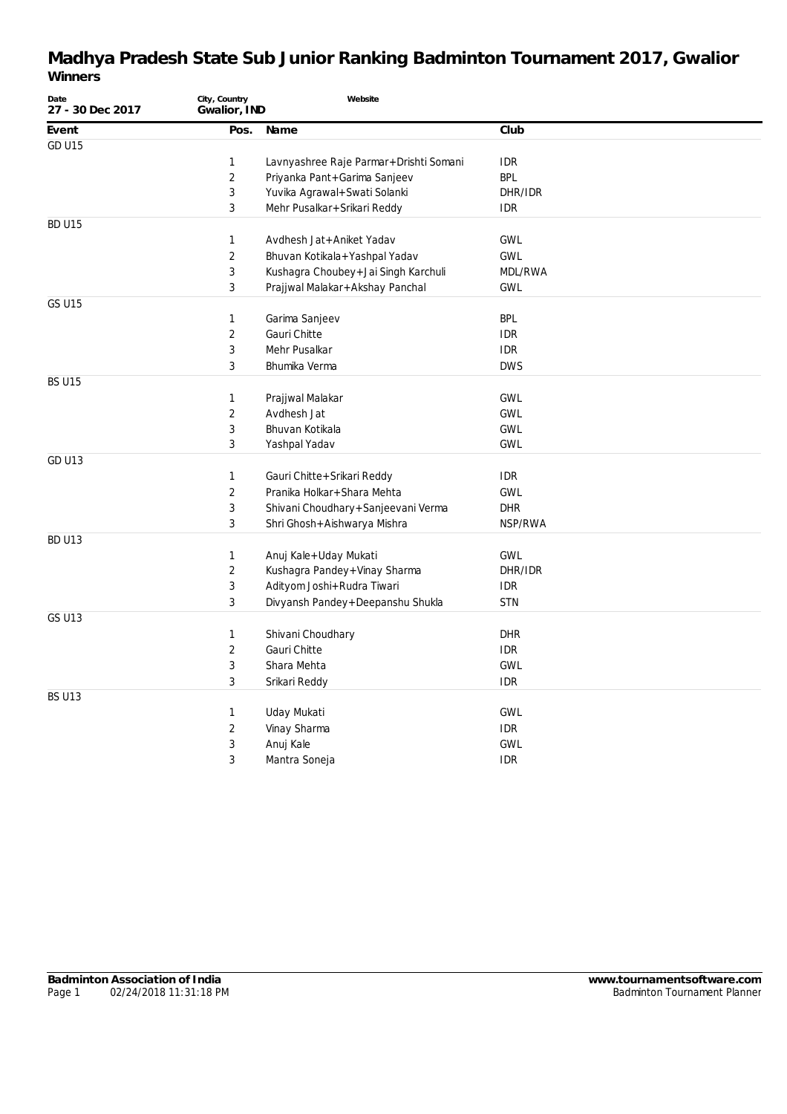| Date<br>27 - 30 Dec 2017 | City, Country<br>Gwalior, IND | Website                                |            |
|--------------------------|-------------------------------|----------------------------------------|------------|
| Event                    | Pos.                          | Name                                   | Club       |
| <b>GD U15</b>            |                               |                                        |            |
|                          | 1                             | Lavnyashree Raje Parmar+Drishti Somani | <b>IDR</b> |
|                          | $\overline{2}$                | Priyanka Pant+Garima Sanjeev           | <b>BPL</b> |
|                          | 3                             | Yuvika Agrawal+Swati Solanki           | DHR/IDR    |
|                          | 3                             | Mehr Pusalkar+Srikari Reddy            | <b>IDR</b> |
| BD U15                   |                               |                                        |            |
|                          | 1                             | Avdhesh Jat+Aniket Yadav               | <b>GWL</b> |
|                          | $\overline{2}$                | Bhuvan Kotikala+Yashpal Yadav          | <b>GWL</b> |
|                          | 3                             | Kushagra Choubey + Jai Singh Karchuli  | MDL/RWA    |
|                          | 3                             | Prajjwal Malakar+Akshay Panchal        | <b>GWL</b> |
| GS U15                   |                               |                                        |            |
|                          | $\mathbf{1}$                  | Garima Sanjeev                         | <b>BPL</b> |
|                          | $\overline{2}$                | Gauri Chitte                           | <b>IDR</b> |
|                          | 3                             | Mehr Pusalkar                          | <b>IDR</b> |
|                          | 3                             | Bhumika Verma                          | <b>DWS</b> |
| <b>BS U15</b>            |                               |                                        |            |
|                          | 1                             | Prajjwal Malakar                       | <b>GWL</b> |
|                          | $\overline{2}$                | Avdhesh Jat                            | <b>GWL</b> |
|                          | 3                             | Bhuvan Kotikala                        | <b>GWL</b> |
|                          | 3                             | Yashpal Yadav                          | <b>GWL</b> |
| <b>GD U13</b>            |                               |                                        |            |
|                          | 1                             | Gauri Chitte + Srikari Reddy           | <b>IDR</b> |
|                          | 2                             | Pranika Holkar+Shara Mehta             | <b>GWL</b> |
|                          | 3                             | Shivani Choudhary + Sanjeevani Verma   | DHR        |
|                          | 3                             | Shri Ghosh+Aishwarya Mishra            | NSP/RWA    |
| <b>BD U13</b>            |                               |                                        |            |
|                          | 1                             | Anuj Kale+Uday Mukati                  | <b>GWL</b> |
|                          | $\overline{2}$                | Kushagra Pandey + Vinay Sharma         | DHR/IDR    |
|                          | 3                             | Adityom Joshi+Rudra Tiwari             | <b>IDR</b> |
|                          | 3                             | Divyansh Pandey + Deepanshu Shukla     | <b>STN</b> |
| <b>GS U13</b>            |                               |                                        |            |
|                          | 1                             | Shivani Choudhary                      | <b>DHR</b> |
|                          | $\overline{2}$                | Gauri Chitte                           | <b>IDR</b> |
|                          | 3                             | Shara Mehta                            | <b>GWL</b> |
|                          | 3                             | Srikari Reddy                          | <b>IDR</b> |
| <b>BS U13</b>            |                               |                                        |            |
|                          | 1                             | Uday Mukati                            | <b>GWL</b> |
|                          | 2                             | Vinay Sharma                           | <b>IDR</b> |
|                          | 3                             | Anuj Kale                              | <b>GWL</b> |
|                          | 3                             | Mantra Soneja                          | <b>IDR</b> |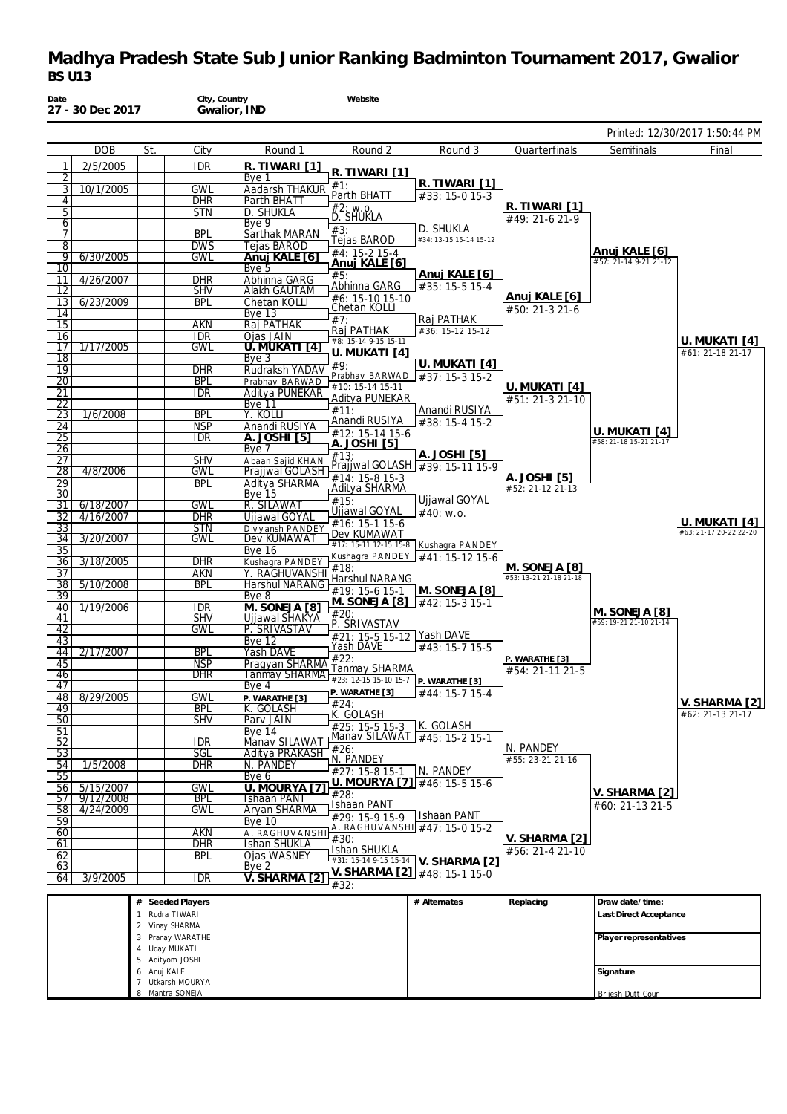| Date                  | 27 - 30 Dec 2017       |              | City, Country<br>Gwalior, IND     |                                       | Website                                                                     |                                       |                                         |                                         |                                         |
|-----------------------|------------------------|--------------|-----------------------------------|---------------------------------------|-----------------------------------------------------------------------------|---------------------------------------|-----------------------------------------|-----------------------------------------|-----------------------------------------|
|                       |                        |              |                                   |                                       |                                                                             |                                       |                                         |                                         | Printed: 12/30/2017 1:50:44 PM          |
|                       | <b>DOB</b>             | St.          | City                              | Round 1                               | Round 2                                                                     | Round 3                               | Quarterfinals                           | Semifinals                              | Final                                   |
| 1                     | 2/5/2005               |              | <b>IDR</b>                        | R. TIWARI [1]                         | R. TIWARI [1]                                                               |                                       |                                         |                                         |                                         |
| 2<br>3                | 10/1/2005              |              | <b>GWL</b>                        | Bye 1<br>Aadarsh THAKUR               | #1:                                                                         | R. TIWARI [1]                         |                                         |                                         |                                         |
| 4                     |                        |              | <b>DHR</b>                        | Parth BHATT                           | Parth BHATT                                                                 | #33: 15-0 15-3                        |                                         |                                         |                                         |
| 5                     |                        |              | <b>STN</b>                        | D. SHUKLA                             | #2: w.o.<br><b>D. SHUKLA</b>                                                |                                       | R. TIWARI [1]<br>#49: 21-6 21-9         |                                         |                                         |
| 6<br>7                |                        |              | <b>BPL</b>                        | Bye 9<br>Sarthak MARAN                | #3:                                                                         | D. SHUKLA                             |                                         |                                         |                                         |
| 8                     |                        |              | <b>DWS</b>                        | Tejas BAROD                           | Tejas BAROD                                                                 | #34: 13-15 15-14 15-12                |                                         |                                         |                                         |
| 9                     | 6/30/2005              |              | GWL                               | Anuj KALE [6]                         | $\overline{44:}$ 15-2 15-4<br>Anuj KALE [6]                                 |                                       |                                         | Anuj KALE [6]<br>#57: 21-14 9-21 21-12  |                                         |
| 10<br>11              | 4/26/2007              |              | <b>DHR</b>                        | Bye 5<br>Abhinna GARG                 | #5:                                                                         | Anuj KALE [6]                         |                                         |                                         |                                         |
| 12                    |                        |              | <b>SHV</b>                        | <b>Alakh GAUTAM</b>                   | Abhinna GARG                                                                | #35: 15-5 15-4                        |                                         |                                         |                                         |
| 13                    | 6/23/2009              |              | <b>BPL</b>                        | Chetan KOLLI                          | #6: 15-10 15-10<br>Chetan KOLLI                                             |                                       | Anuj KALE [6]<br>#50: 21-3 21-6         |                                         |                                         |
| 14<br>15              |                        |              | AKN                               | <b>Bye 13</b><br>Raj PATHAK           | #7:                                                                         | Raj PATHAK                            |                                         |                                         |                                         |
| 16                    |                        |              | <b>IDR</b>                        | Ojas JAIN                             | Raj PATHAK                                                                  | #36: 15-12 15-12                      |                                         |                                         |                                         |
| 17                    | 1/17/2005              |              | <b>GWL</b>                        | U. MUKATI [4]                         | #8: 15-14 9-15 15-11<br>U. MUKATI [4]                                       |                                       |                                         |                                         | U. MUKATI [4]<br>#61: 21-18 21-17       |
| 18                    |                        |              |                                   | Bye <sub>3</sub>                      | #9:                                                                         | U. MUKATI [4]                         |                                         |                                         |                                         |
| 19<br>20              |                        |              | <b>DHR</b><br><b>BPL</b>          | Rudraksh YADAV<br>Prabhav BARWAD      | Prabhav BARWAD                                                              | #37: 15-3 15-2                        |                                         |                                         |                                         |
| 21                    |                        |              | <b>IDR</b>                        | Aditya PUNEKAR                        | #10: 15-14 15-11<br>Aditya PUNEKAR                                          |                                       | U. MUKATI [4]                           |                                         |                                         |
| 22                    |                        |              |                                   | Bye 11                                | #11:                                                                        | Anandi RUSIYA                         | #51: 21-3 21-10                         |                                         |                                         |
| 23<br>24              | 1/6/2008               |              | <b>BPL</b><br><b>NSP</b>          | Y. KOLLI<br>Anandi RUSIYA             | Anandi RUSIYA                                                               | #38: 15-4 15-2                        |                                         |                                         |                                         |
| $\overline{25}$       |                        |              | <b>IDR</b>                        | A. JOSHI [5]                          | #12: 15-14 15-6                                                             |                                       |                                         | U. MUKATI [4]<br>#58: 21-18 15-21 21-17 |                                         |
| 26                    |                        |              |                                   | Bye 7                                 | A. JOSHI [5]<br>#13:                                                        | A. JOSHI [5]                          |                                         |                                         |                                         |
| $\overline{27}$<br>28 | 4/8/2006               |              | <b>SHV</b><br>GWL                 | Abaan Sajid KHAN<br>Prajiwal GOLASH   |                                                                             | Prajiwal GOLASH #39: 15-11 15-9       |                                         |                                         |                                         |
| 29                    |                        |              | <b>BPL</b>                        | Aditya SHARMA                         | $#14: 15-815-3$                                                             |                                       | A. JOSHI [5]                            |                                         |                                         |
| 30                    |                        |              |                                   | <b>Bye 15</b>                         | Aditya SHARMA<br>#15:                                                       | Ujjawal GOYAL                         | #52: 21-12 21-13                        |                                         |                                         |
| 31<br>32              | 6/18/2007<br>4/16/2007 |              | GWL<br><b>DHR</b>                 | R. SILAWAT<br>Ujjawal GOYAL           | Ujjawal GOYAL                                                               | #40: w.o.                             |                                         |                                         |                                         |
| 33                    |                        |              | <b>STN</b>                        | Divyansh PANDEY                       | #16: 15-1 15-6                                                              |                                       |                                         |                                         | U. MUKATI [4]<br>#63: 21-17 20-22 22-20 |
| 34                    | 3/20/2007              |              | GWL                               | Dev KUMAWAT                           | Dev KUMAWAT                                                                 | #17: 15-11 12-15 15-8 Kushagra PANDEY |                                         |                                         |                                         |
| 35<br>36              | 3/18/2005              |              | <b>DHR</b>                        | <b>Bye 16</b><br>Kushagra PANDEY      |                                                                             | Kushagra PANDEY #41: 15-12 15-6       |                                         |                                         |                                         |
| 37                    |                        |              | <b>AKN</b>                        | Y. RAGHUVANSHI                        | #18:                                                                        |                                       | M. SONEJA [8]<br>#53: 13-21 21-18 21-18 |                                         |                                         |
| 38                    | 5/10/2008              |              | <b>BPL</b>                        | <b>Harshul NARANG</b>                 | Harshul NARANG<br>#19: 15-6 15-1                                            | [M. SONEJA [8]                        |                                         |                                         |                                         |
| 39<br>40              | 1/19/2006              |              | IDR                               | Bye 8<br>M. SONEJA [8]                | M. SONEJA [8]                                                               | $\pm 42: 15 - 3 15 - 1$               |                                         |                                         |                                         |
| 41                    |                        |              | <b>SHV</b>                        | Ujjawal SHAKYA                        | #20:                                                                        |                                       |                                         | M. SONEJA [8]<br>#59: 19-21 21-10 21-14 |                                         |
| 42                    |                        |              | GWL                               | P. SRIVASTAV                          | P. SRIVASTAV<br>#21: 15-5 15-12 Yash DAVE                                   |                                       |                                         |                                         |                                         |
| 43<br>44              | 2/17/2007              |              | <b>BPL</b>                        | Bye 12<br>Yash DAVE                   | Yash DAVE                                                                   | #43: 15-7 15-5                        |                                         |                                         |                                         |
| 45                    |                        |              | <b>NSP</b>                        | Pragyan SHARMA                        | #22:                                                                        |                                       | P. WARATHE [3]                          |                                         |                                         |
| 46                    |                        |              | dhr                               |                                       | Tanmay SHARMA<br><u>Tanmay SHARMA + 23: 12-15 15-10 15-7 P. WARATHE [3]</u> |                                       | #54: 21-11 21-5                         |                                         |                                         |
| 47<br>48              | 8/29/2005              |              | <b>GWL</b>                        | Bye 4<br>P. WARATHE [3]               | P. WARATHE [3]                                                              | #44: 15-7 15-4                        |                                         |                                         |                                         |
| 49                    |                        |              | <b>BPL</b>                        | K. GOLASH                             | #24:                                                                        |                                       |                                         |                                         | V. SHARMA [2]                           |
| $\overline{50}$       |                        |              | <b>SHV</b>                        | Parv JAIN                             | K. GOLASH<br>$#25: 15-5 15-3$                                               | K. GOLASH                             |                                         |                                         | #62: 21-13 21-17                        |
| 51<br>52              |                        |              | <b>IDR</b>                        | <b>Bye 14</b><br>Manav SILAWAT        |                                                                             | Manav SILAWAT #45: 15-2 15-1          |                                         |                                         |                                         |
| 53                    |                        |              | SGL                               | Aditya PRAKASH                        | #26:                                                                        |                                       | N. PANDEY                               |                                         |                                         |
| 54                    | 1/5/2008               |              | <b>DHR</b>                        | N. PANDEY                             | N. PANDEY<br>#27: 15-8 15-1                                                 | N. PANDEY                             | #55: 23-21 21-16                        |                                         |                                         |
| 55<br>56              | 5/15/2007              |              | <b>GWL</b>                        | Bye 6<br>U. MOURYA [7]                |                                                                             | U. MOURYA [7] #46: 15-5 15-6          |                                         |                                         |                                         |
| 57                    | 9/12/2008              |              | <b>BPL</b>                        | <b>Ishaan PANT</b>                    | #28:                                                                        |                                       |                                         | V. SHARMA [2]                           |                                         |
| 58                    | 4/24/2009              |              | <b>GWL</b>                        | <b>Aryan SHARMA</b>                   | <b>Ishaan PANT</b><br>#29: 15-9 15-9                                        | Ishaan PANT                           |                                         | #60: 21-13 21-5                         |                                         |
| 59                    |                        |              | <b>AKN</b>                        | <b>Bye 10</b>                         |                                                                             | A. RAGHUVANSHI #47: 15-0 15-2         |                                         |                                         |                                         |
| 60<br>61              |                        |              | <b>DHR</b>                        | A. RAGHUVANSHI<br><b>Ishan SHUKLA</b> | #30:                                                                        |                                       | V. SHARMA [2]                           |                                         |                                         |
| 62                    |                        |              | <b>BPL</b>                        | <b>Oias WASNEY</b>                    | Ishan SHUKLA                                                                | #31: 15-14 9-15 15-14 V. SHARMA [2]   | #56: 21-4 21-10                         |                                         |                                         |
| 63                    |                        |              |                                   | Bye <sub>2</sub>                      |                                                                             | V. SHARMA [2] #48: 15-1 15-0          |                                         |                                         |                                         |
| 64                    | 3/9/2005               |              | <b>IDR</b>                        | V. SHARMA [2]                         | #32:                                                                        |                                       |                                         |                                         |                                         |
|                       |                        |              | # Seeded Players                  |                                       |                                                                             | # Alternates                          | Replacing                               | Draw date/time:                         |                                         |
|                       |                        | $\mathbf{1}$ | Rudra TIWARI                      |                                       |                                                                             |                                       |                                         | Last Direct Acceptance                  |                                         |
|                       |                        |              | 2 Vinay SHARMA                    |                                       |                                                                             |                                       |                                         |                                         |                                         |
|                       |                        |              | 3 Pranay WARATHE<br>4 Uday MUKATI |                                       |                                                                             |                                       |                                         | Player representatives                  |                                         |
|                       |                        |              | 5 Adityom JOSHI                   |                                       |                                                                             |                                       |                                         |                                         |                                         |
|                       |                        | 6 Anuj KALE  | 7 Utkarsh MOURYA                  |                                       |                                                                             |                                       |                                         | Signature                               |                                         |
|                       |                        |              | 8 Mantra SONEJA                   |                                       |                                                                             |                                       |                                         | Brijesh Dutt Gour                       |                                         |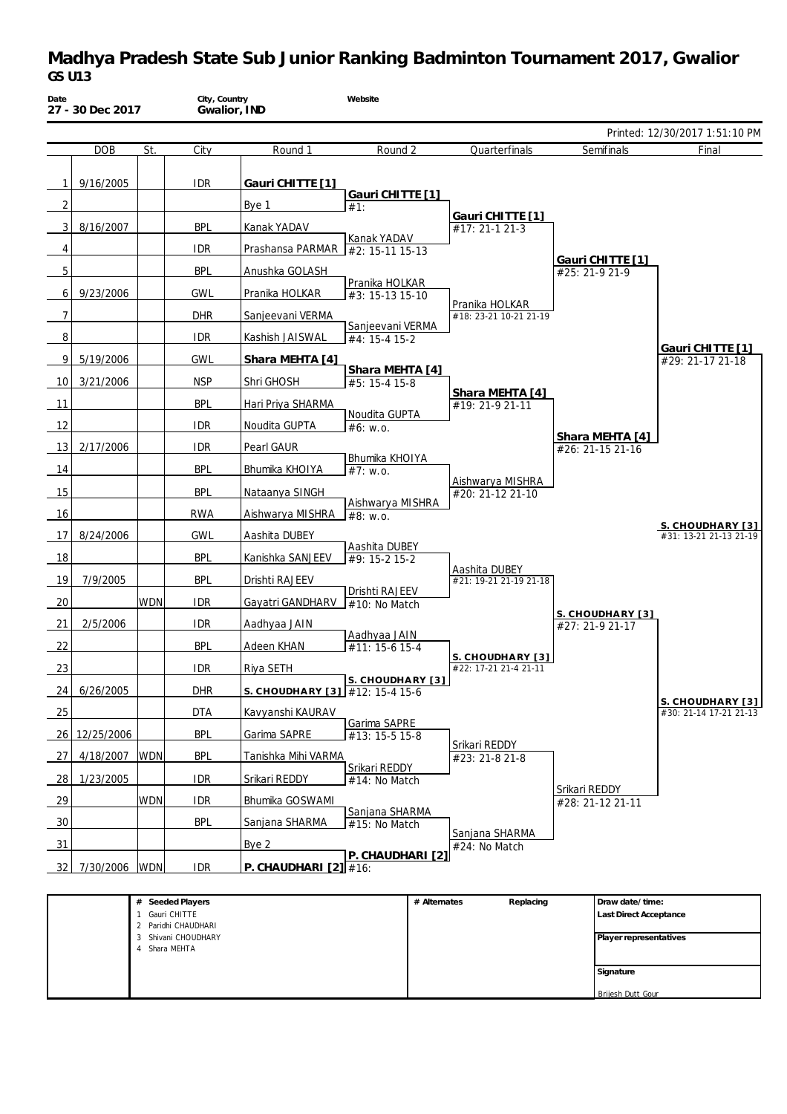| Date            | 27 - 30 Dec 2017 |                     | City, Country<br>Gwalior, IND    |                                                              | Website                           |              |                                           |               |                                     |                                            |
|-----------------|------------------|---------------------|----------------------------------|--------------------------------------------------------------|-----------------------------------|--------------|-------------------------------------------|---------------|-------------------------------------|--------------------------------------------|
|                 |                  |                     |                                  |                                                              |                                   |              |                                           |               |                                     | Printed: 12/30/2017 1:51:10 PM             |
|                 | <b>DOB</b>       | St.                 | City                             | Round 1                                                      | Round 2                           |              | Quarterfinals                             |               | Semifinals                          | Final                                      |
| 1               | 9/16/2005        |                     | <b>IDR</b>                       | Gauri CHITTE [1]                                             | Gauri CHITTE [1]                  |              |                                           |               |                                     |                                            |
| 2               |                  |                     |                                  | Bye 1                                                        | #1:                               |              |                                           |               |                                     |                                            |
| 3               | 8/16/2007        |                     | <b>BPL</b>                       | Kanak YADAV                                                  |                                   |              | Gauri CHITTE [1]<br>#17: 21-1 21-3        |               |                                     |                                            |
| 4               |                  |                     | <b>IDR</b>                       | Prashansa PARMAR #2: 15-11 15-13                             | Kanak YADAV                       |              |                                           |               |                                     |                                            |
| 5               |                  |                     | <b>BPL</b>                       | Anushka GOLASH                                               |                                   |              |                                           |               | Gauri CHITTE [1]<br>#25: 21-9 21-9  |                                            |
| 6               | 9/23/2006        |                     | <b>GWL</b>                       | Pranika HOLKAR                                               | Pranika HOLKAR<br>#3: 15-13 15-10 |              |                                           |               |                                     |                                            |
| $\overline{7}$  |                  |                     | <b>DHR</b>                       | Sanjeevani VERMA                                             |                                   |              | Pranika HOLKAR<br>#18: 23-21 10-21 21-19  |               |                                     |                                            |
| 8               |                  |                     | <b>IDR</b>                       | Kashish JAISWAL                                              | Sanjeevani VERMA<br>#4: 15-4 15-2 |              |                                           |               |                                     |                                            |
| 9               | 5/19/2006        |                     | <b>GWL</b>                       | Shara MEHTA [4]                                              |                                   |              |                                           |               |                                     | Gauri CHITTE [1]<br>#29: 21-17 21-18       |
| 10              | 3/21/2006        |                     | <b>NSP</b>                       | Shri GHOSH                                                   | Shara MEHTA [4]<br>#5: 15-4 15-8  |              |                                           |               |                                     |                                            |
| 11              |                  |                     | <b>BPL</b>                       | Hari Priya SHARMA                                            |                                   |              | Shara MEHTA [4]<br>#19: 21-9 21-11        |               |                                     |                                            |
| 12              |                  |                     | <b>IDR</b>                       | Noudita GUPTA                                                | Noudita GUPTA<br>#6: W.0.         |              |                                           |               |                                     |                                            |
| 13              | 2/17/2006        |                     | <b>IDR</b>                       | Pearl GAUR                                                   |                                   |              |                                           |               | Shara MEHTA [4]<br>#26: 21-15 21-16 |                                            |
| 14              |                  |                     | <b>BPL</b>                       | Bhumika KHOIYA                                               | Bhumika KHOIYA<br>#7: W.0.        |              |                                           |               |                                     |                                            |
| 15              |                  |                     | <b>BPL</b>                       | Nataanya SINGH                                               |                                   |              | Aishwarya MISHRA<br>#20: 21-12 21-10      |               |                                     |                                            |
| 16              |                  |                     | <b>RWA</b>                       | Aishwarya MISHRA                                             | Aishwarya MISHRA<br>#8: w.o.      |              |                                           |               |                                     |                                            |
| 17              | 8/24/2006        |                     | <b>GWL</b>                       | Aashita DUBEY                                                |                                   |              |                                           |               |                                     | S. CHOUDHARY [3]<br>#31: 13-21 21-13 21-19 |
| 18              |                  |                     | <b>BPL</b>                       | Kanishka SANJEEV                                             | Aashita DUBEY<br>#9: 15-2 15-2    |              |                                           |               |                                     |                                            |
| 19              | 7/9/2005         |                     | <b>BPL</b>                       | Drishti RAJEEV                                               |                                   |              | Aashita DUBEY<br>#21: 19-21 21-19 21-18   |               |                                     |                                            |
| 20              |                  | <b>WDN</b>          | <b>IDR</b>                       | Gayatri GANDHARV                                             | Drishti RAJEEV<br>#10: No Match   |              |                                           |               |                                     |                                            |
| 21              | 2/5/2006         |                     | <b>IDR</b>                       | Aadhyaa JAIN                                                 |                                   |              |                                           |               | S. CHOUDHARY [3]<br>#27: 21-9 21-17 |                                            |
| 22              |                  |                     | <b>BPL</b>                       | Adeen KHAN                                                   | Aadhyaa JAIN<br>$#11: 15-615-4$   |              |                                           |               |                                     |                                            |
| 23              |                  |                     | IDR.                             | Riya SETH                                                    |                                   |              | S. CHOUDHARY [3]<br>#22: 17-21 21-4 21-11 |               |                                     |                                            |
| 24              | 6/26/2005        |                     | <b>DHR</b>                       |                                                              | S. CHOUDHARY [3]                  |              |                                           |               |                                     |                                            |
| 25              |                  |                     | <b>DTA</b>                       | S. CHOUDHARY [3] $\sqrt{\#12:15-4}$ 15-6<br>Kavyanshi KAURAV |                                   |              |                                           |               |                                     | S. CHOUDHARY [3]<br>#30: 21-14 17-21 21-13 |
|                 | 12/25/2006       |                     | <b>BPL</b>                       | Garima SAPRE                                                 | Garima SAPRE                      |              |                                           |               |                                     |                                            |
| 26              |                  |                     |                                  |                                                              | #13: 15-5 15-8                    |              | Srikari REDDY                             |               |                                     |                                            |
| 27              | 4/18/2007        | <b>WDN</b>          | <b>BPL</b>                       | Tanishka Mihi VARMA                                          | Srikari REDDY                     |              | #23: 21-8 21-8                            |               |                                     |                                            |
| 28              | 1/23/2005        |                     | <b>IDR</b>                       | Srikari REDDY                                                | #14: No Match                     |              |                                           | Srikari REDDY |                                     |                                            |
| 29              |                  | <b>WDN</b>          | <b>IDR</b>                       | Bhumika GOSWAMI                                              | Sanjana SHARMA                    |              |                                           |               | #28: 21-12 21-11                    |                                            |
| 30              |                  |                     | <b>BPL</b>                       | Sanjana SHARMA                                               | #15: No Match                     |              | Sanjana SHARMA                            |               |                                     |                                            |
| $\overline{31}$ |                  |                     |                                  | Bye 2                                                        | P. CHAUDHARI [2]                  |              | #24: No Match                             |               |                                     |                                            |
| 32              | 7/30/2006        | <b>WDN</b>          | <b>IDR</b>                       | P. CHAUDHARI $[2]$ #16:                                      |                                   |              |                                           |               |                                     |                                            |
|                 |                  |                     | Seeded Players                   |                                                              |                                   | # Alternates | Replacing                                 |               | Draw date/time:                     |                                            |
|                 |                  | 1 Gauri CHITTE<br>2 | Paridhi CHAUDHARI                |                                                              |                                   |              |                                           |               | Last Direct Acceptance              |                                            |
|                 |                  | 3                   | Shivani CHOUDHARY<br>Shara MEHTA |                                                              |                                   |              |                                           |               | Player representatives              |                                            |

**Signature** Brijesh Dutt Gour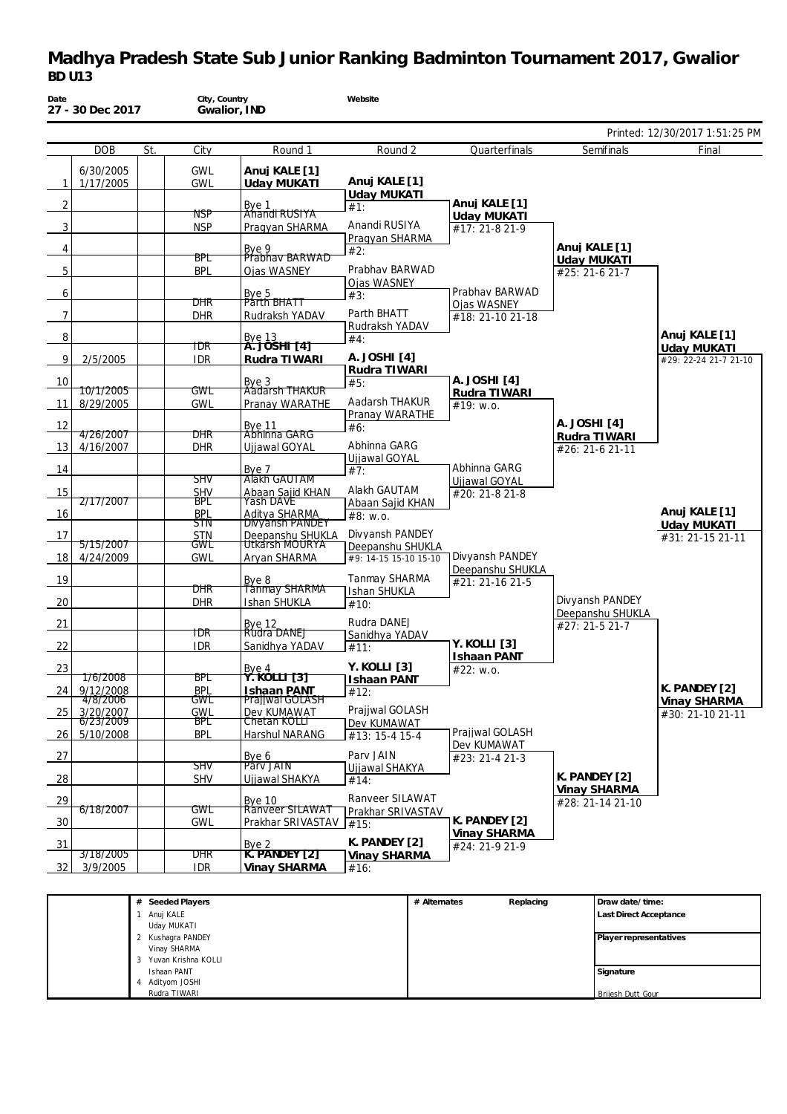|                |                      |     |                   |                                  |                                   |                               |                                  | Printed: 12/30/2017 1:51:25 PM              |
|----------------|----------------------|-----|-------------------|----------------------------------|-----------------------------------|-------------------------------|----------------------------------|---------------------------------------------|
|                | <b>DOB</b>           | St. | City              | Round 1                          | Round 2                           | Quarterfinals                 | Semifinals                       | Final                                       |
|                | 6/30/2005            |     | <b>GWL</b>        | Anuj KALE [1]                    |                                   |                               |                                  |                                             |
| 1              | 1/17/2005            |     | <b>GWL</b>        | <b>Uday MUKATI</b>               | Anuj KALE [1]                     |                               |                                  |                                             |
| $\overline{2}$ |                      |     |                   | Bye 1                            | <b>Uday MUKATI</b><br>#1:         | Anuj KALE [1]                 |                                  |                                             |
|                |                      |     | NSP               | Ahandi RUSIYA                    |                                   | Uday MUKATI                   |                                  |                                             |
| 3              |                      |     | <b>NSP</b>        | Pragyan SHARMA                   | Anandi RUSIYA                     | #17: 21-8 21-9                |                                  |                                             |
| 4              |                      |     |                   |                                  | Pragyan SHARMA                    |                               | Anuj KALE [1]                    |                                             |
|                |                      |     | BPL               | Bye 9<br>Prabhay BARWAD          | #2:                               |                               | Uday MUKATI                      |                                             |
| 5              |                      |     | <b>BPL</b>        | Ojas WASNEY                      | Prabhav BARWAD                    |                               | #25: 21-6 21-7                   |                                             |
|                |                      |     |                   |                                  | Ojas WASNEY                       |                               |                                  |                                             |
| 6              |                      |     | DHR               | Bye 5<br>Párth BHATT             | #3:                               | Prabhav BARWAD<br>Ojas WASNEY |                                  |                                             |
| $\overline{7}$ |                      |     | <b>DHR</b>        | Rudraksh YADAV                   | Parth BHATT                       | #18: 21-10 21-18              |                                  |                                             |
|                |                      |     |                   |                                  | Rudraksh YADAV                    |                               |                                  |                                             |
| 8              |                      |     |                   | <u>Вуе 13</u><br>А. ЈОЅНІ [4]    | #4:                               |                               |                                  | Anuj KALE [1]                               |
| 9              | 2/5/2005             |     | TDR<br><b>IDR</b> | Rudra TIWARI                     | A. JOSHI [4]                      |                               |                                  | <b>Uday MUKATI</b><br>#29: 22-24 21-7 21-10 |
|                |                      |     |                   |                                  | Rudra TIWARI                      |                               |                                  |                                             |
| 10             |                      |     |                   | Bye 3<br>Aadarsh THAKUR          | #5:                               | A. JOSHI [4]                  |                                  |                                             |
|                | 10/1/2005            |     | GWL               |                                  |                                   | Rudra TIWARI                  |                                  |                                             |
| -11            | 8/29/2005            |     | <b>GWL</b>        | Pranay WARATHE                   | Aadarsh THAKUR<br>Pranay WARATHE  | #19: W.0.                     |                                  |                                             |
| 12             |                      |     |                   |                                  | #6:                               |                               | A. JOSHI [4]                     |                                             |
|                | 4/26/2007            |     | DHR               | Bye 11<br>Abhinna GARG           |                                   |                               | Rudra TIWARI                     |                                             |
| - 13           | 4/16/2007            |     | <b>DHR</b>        | Ujjawal GOYAL                    | Abhinna GARG                      |                               | #26: 21-6 21-11                  |                                             |
|                |                      |     |                   | Bye 7                            | Ujjawal GOYAL                     | Abhinna GARG                  |                                  |                                             |
| 14             |                      |     | <b>SHV</b>        | Alakh GAUTAM                     | #7:                               | Ujjawal GOYAL                 |                                  |                                             |
| 15             |                      |     | <b>SHV</b>        | Abaan Sajid KHAN<br>Yash DAVE    | Alakh GAUTAM                      | #20: 21-8 21-8                |                                  |                                             |
|                | <del>2/17/2007</del> |     | BPL               |                                  | Abaan Sajid KHAN                  |                               |                                  |                                             |
| 16             |                      |     | <b>BPL</b><br>STN | Aditya SHARMA<br>Divyansh PANDEY | #8: w.o.                          |                               |                                  | Anuj KALE [1]<br>Uday MUKATI                |
| 17             |                      |     | <b>STN</b>        | Deepanshu SHUKLA                 | Divyansh PANDEY                   |                               |                                  | #31: 21-15 21-11                            |
|                | 5/15/2007            |     | GWL               | Utkarsh MOURYA                   | Deepanshu SHUKLA                  |                               |                                  |                                             |
| 18 I           | 4/24/2009            |     | <b>GWL</b>        | Aryan SHARMA                     | #9: 14-15 15-10 15-10             | Divyansh PANDEY               |                                  |                                             |
| 19             |                      |     |                   | Bye 8                            | Tanmay SHARMA                     | Deepanshu SHUKLA              |                                  |                                             |
|                |                      |     | DHR               | <b>Tanmay SHARMA</b>             | Ishan SHUKLA                      | #21: 21-16 21-5               |                                  |                                             |
| 20             |                      |     | <b>DHR</b>        | Ishan SHUKLA                     | #10:                              |                               | Divyansh PANDEY                  |                                             |
|                |                      |     |                   |                                  | Rudra DANEJ                       |                               | Deepanshu SHUKLA                 |                                             |
| 21             |                      |     | TDR               | Bye 12<br>Rudra DANEJ            | Sanidhya YADAV                    |                               | #27: 21-5 21-7                   |                                             |
| 22             |                      |     | <b>IDR</b>        | Sanidhya YADAV                   | #11:                              | Y. KOLLI [3]                  |                                  |                                             |
|                |                      |     |                   |                                  |                                   | <b>Ishaan PANT</b>            |                                  |                                             |
| 23             | <u>176/2008</u>      |     | BPL               | Bye 4<br><u> Ÿ. KOLLI [3]</u>    | Y. KOLLI [3]                      | #22: w.o.                     |                                  |                                             |
| 24 I           | 9/12/2008            |     | <b>BPL</b>        | <b>Ishaan PANT</b>               | Ishaan PANT<br>$\overline{412}$ : |                               |                                  | K. PANDEY [2]                               |
|                | <del>4/8/2006</del>  |     | GWL               | Prajiwal GOLASH                  |                                   |                               |                                  | Vinay SHARMA                                |
| 25             | 3/20/2007            |     | GWL               | Dev KUMAWAT                      | Prajiwal GOLASH                   |                               |                                  | #30: 21-10 21-11                            |
|                | 6/23/2009            |     | BPC<br><b>BPL</b> | Chetan KOLLT                     | Dev KUMAWAT                       | Prajjwal GOLASH               |                                  |                                             |
| 26             | 5/10/2008            |     |                   | Harshul NARANG                   | #13: 15-4 15-4                    | Dev KUMAWAT                   |                                  |                                             |
| 27             |                      |     |                   | Bye 6                            | Parv JAIN                         | #23: 21-4 21-3                |                                  |                                             |
|                |                      |     | SHV               | Pary JAIN                        | Ujjawal SHAKYA                    |                               |                                  |                                             |
| 28             |                      |     | <b>SHV</b>        | Ujjawal SHAKYA                   | #14:                              |                               | K. PANDEY [2]                    |                                             |
| 29             |                      |     |                   | <b>Bye 10</b>                    | Ranveer SILAWAT                   |                               | Vinay SHARMA<br>#28: 21-14 21-10 |                                             |
|                | 6/18/2007            |     | GWL               | Ranveer SILAWAT                  | Prakhar SRIVASTAV                 |                               |                                  |                                             |
| 30             |                      |     | <b>GWL</b>        | Prakhar SRIVASTAV                | #15:                              | K. PANDEY [2]                 |                                  |                                             |
|                |                      |     |                   |                                  | K. PANDEY [2]                     | Vinay SHARMA                  |                                  |                                             |
| 31             | 3/18/2005            |     | DHR               | Bye 2<br>K. PANDEY [2]           | Vinay SHARMA                      | #24: 21-9 21-9                |                                  |                                             |
| 32             | 3/9/2005             |     | <b>IDR</b>        | Vinay SHARMA                     | #16:                              |                               |                                  |                                             |
|                |                      |     |                   |                                  |                                   |                               |                                  |                                             |

| # Seeded Players    | # Alternates | Replacing | Draw date/time:               |
|---------------------|--------------|-----------|-------------------------------|
| Anuj KALE           |              |           | <b>Last Direct Acceptance</b> |
| Uday MUKATI         |              |           |                               |
| Kushagra PANDEY     |              |           | Player representatives        |
| Vinay SHARMA        |              |           |                               |
| Yuvan Krishna KOLLI |              |           |                               |
| Ishaan PANT         |              |           | Signature                     |
| Adityom JOSHI       |              |           |                               |
| Rudra TIWARI        |              |           | Brijesh Dutt Gour             |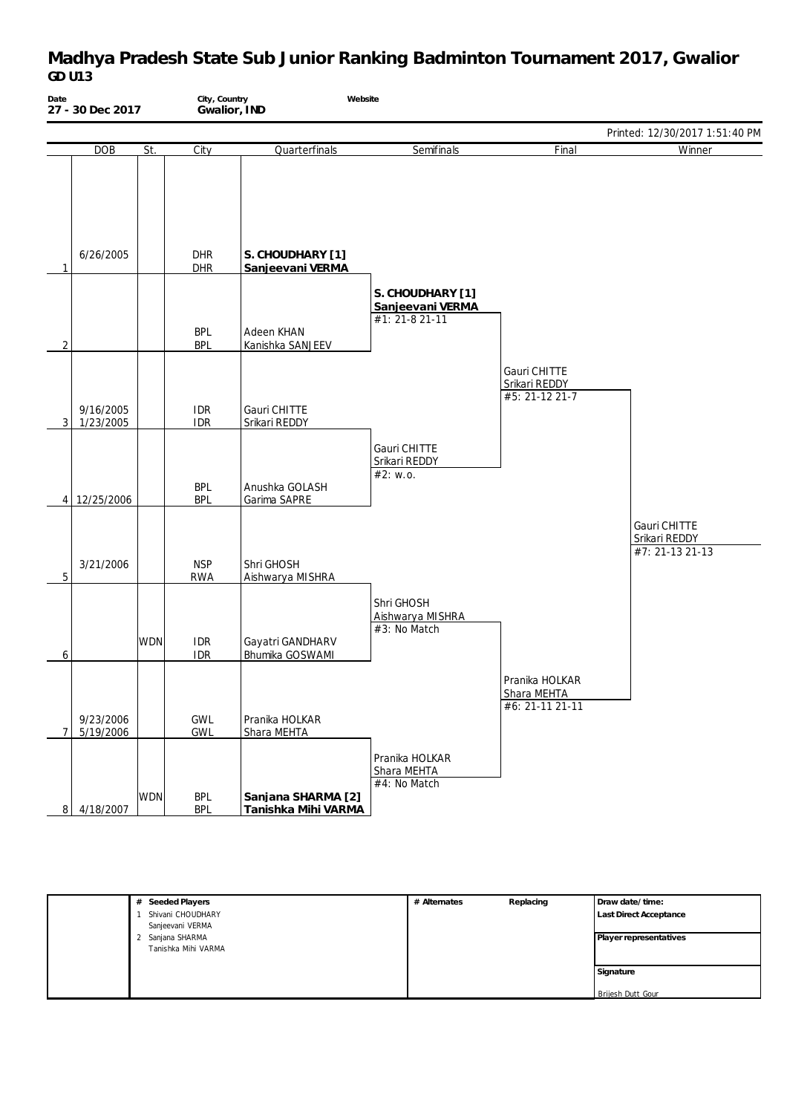| Date           | 27 - 30 Dec 2017       |            | City, Country            | Website<br>Gwalior, IND                   |                                                        |                                                  |                                                  |
|----------------|------------------------|------------|--------------------------|-------------------------------------------|--------------------------------------------------------|--------------------------------------------------|--------------------------------------------------|
|                |                        |            |                          |                                           |                                                        |                                                  | Printed: 12/30/2017 1:51:40 PM                   |
|                | <b>DOB</b>             | St.        | City                     | Quarterfinals                             | Semifinals                                             | Final                                            | Winner                                           |
| 1              | 6/26/2005              |            | <b>DHR</b><br><b>DHR</b> | S. CHOUDHARY [1]<br>Sanjeevani VERMA      |                                                        |                                                  |                                                  |
| $\overline{2}$ |                        |            | <b>BPL</b><br><b>BPL</b> | Adeen KHAN<br>Kanishka SANJEEV            | S. CHOUDHARY [1]<br>Sanjeevani VERMA<br>#1: 21-8 21-11 |                                                  |                                                  |
| 3 <sup>1</sup> | 9/16/2005<br>1/23/2005 |            | <b>IDR</b><br><b>IDR</b> | Gauri CHITTE<br>Srikari REDDY             |                                                        | Gauri CHITTE<br>Srikari REDDY<br>#5: 21-12 21-7  |                                                  |
|                | 4 12/25/2006           |            | <b>BPL</b><br><b>BPL</b> | Anushka GOLASH<br>Garima SAPRE            | Gauri CHITTE<br>Srikari REDDY<br>#2: W.0.              |                                                  |                                                  |
| 5              | 3/21/2006              |            | <b>NSP</b><br><b>RWA</b> | Shri GHOSH<br>Aishwarya MISHRA            |                                                        |                                                  | Gauri CHITTE<br>Srikari REDDY<br>#7: 21-13 21-13 |
| 6              |                        | <b>WDN</b> | <b>IDR</b><br><b>IDR</b> | Gayatri GANDHARV<br>Bhumika GOSWAMI       | Shri GHOSH<br>Aishwarya MISHRA<br>#3: No Match         |                                                  |                                                  |
| $\overline{7}$ | 9/23/2006<br>5/19/2006 |            | GWL<br>GWL               | Pranika HOLKAR<br>Shara MEHTA             |                                                        | Pranika HOLKAR<br>Shara MEHTA<br>#6: 21-11 21-11 |                                                  |
| 8 <sup>1</sup> | 4/18/2007              | <b>WDN</b> | <b>BPL</b><br><b>BPL</b> | Sanjana SHARMA [2]<br>Tanishka Mihi VARMA | Pranika HOLKAR<br>Shara MEHTA<br>#4: No Match          |                                                  |                                                  |

| # Seeded Players    | # Alternates | Replacing | Draw date/time:        |
|---------------------|--------------|-----------|------------------------|
| Shivani CHOUDHARY   |              |           | Last Direct Acceptance |
| Sanjeevani VERMA    |              |           |                        |
| 2 Sanjana SHARMA    |              |           | Player representatives |
| Tanishka Mihi VARMA |              |           |                        |
|                     |              |           |                        |
|                     |              |           | Signature              |
|                     |              |           |                        |
|                     |              |           | Brijesh Dutt Gour      |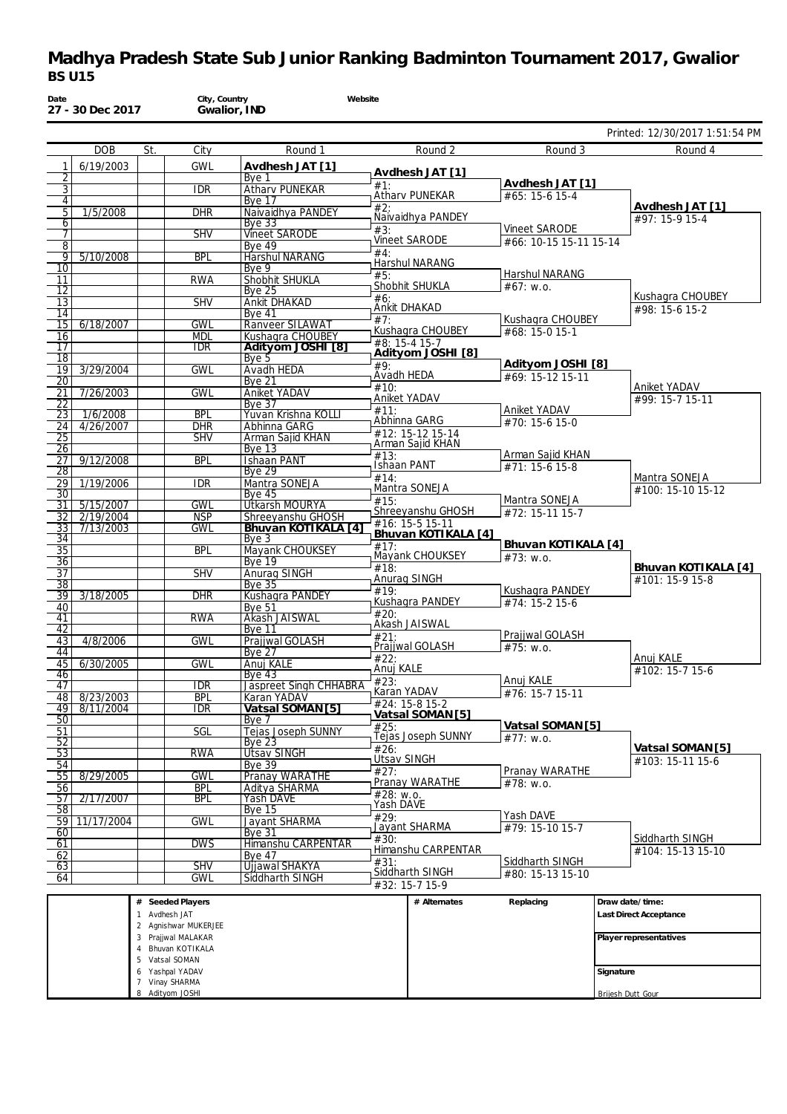| BS U I5               |                        |     |                          |                                        |                                        |                                    |                                 |
|-----------------------|------------------------|-----|--------------------------|----------------------------------------|----------------------------------------|------------------------------------|---------------------------------|
| Date                  | 27 - 30 Dec 2017       |     | City, Country            | Website<br>Gwalior, IND                |                                        |                                    |                                 |
|                       |                        |     |                          |                                        |                                        |                                    | Printed: 12/30/2017 1:51:54 PM  |
|                       | <b>DOB</b>             | St. | City                     | Round 1                                | Round 2                                | Round 3                            | Round 4                         |
|                       | 6/19/2003              |     | <b>GWL</b>               | Avdhesh JAT [1]                        |                                        |                                    |                                 |
| 2                     |                        |     |                          | Bye 1                                  | Avdhesh JAT [1]<br>#1:                 | Avdhesh JAT [1]                    |                                 |
| $\overline{3}$        |                        |     | <b>IDR</b>               | <b>Atharv PUNEKAR</b>                  | Atharv PUNEKAR                         | #65: 15-6 15-4                     |                                 |
| $\overline{4}$        |                        |     |                          | <b>Bye 17</b>                          | #2:                                    |                                    | Avdhesh JAT [1]                 |
| 5 <sub>1</sub><br>6   | 1/5/2008               |     | <b>DHR</b>               | Naivaidhya PANDEY<br><b>Bye 33</b>     | Naivaidhya PANDEY                      |                                    | #97: 15-9 15-4                  |
| 7                     |                        |     | <b>SHV</b>               | <b>Vineet SARODE</b>                   | #3:                                    | Vineet SARODE                      |                                 |
| 8                     |                        |     |                          | <b>Bye 49</b>                          | <b>Vineet SARODE</b><br>#4:            | #66: 10-15 15-11 15-14             |                                 |
| 91                    | 5/10/2008              |     | <b>BPL</b>               | <b>Harshul NARANG</b>                  | Harshul NARANG                         |                                    |                                 |
| 10                    |                        |     |                          | Bye 9                                  | #5:                                    | Harshul NARANG                     |                                 |
| 11<br>12              |                        |     | <b>RWA</b>               | Shobhit SHUKLA<br><b>Bye 25</b>        | Shobhit SHUKLA                         | #67: W.0.                          |                                 |
| 13                    |                        |     | <b>SHV</b>               | <b>Ankit DHAKAD</b>                    | #6:                                    |                                    | Kushagra CHOUBEY                |
| 14                    |                        |     |                          | <b>Bye 41</b>                          | Ankit DHAKAD<br>#7:                    | Kushagra CHOUBEY                   | #98: 15-6 15-2                  |
| 15 <sup>1</sup>       | 6/18/2007              |     | <b>GWL</b>               | Ranveer SILAWAT                        | Kushagra CHOUBEY                       | #68: 15-0 15-1                     |                                 |
| 16                    |                        |     | <b>MDL</b>               | Kushagra CHOUBEY                       | #8: 15-4 15-7                          |                                    |                                 |
| $\overline{17}$<br>18 |                        |     | <b>IDR</b>               | Adityom JOSHI [8]<br>Bye 5             | Adityom JOSHI [8]                      |                                    |                                 |
| 19                    | 3/29/2004              |     | <b>GWL</b>               | <b>Avadh HEDA</b>                      | #9:                                    | Adityom JOSHI [8]                  |                                 |
| 20                    |                        |     |                          | <b>Bve 21</b>                          | Avadh HEDA                             | #69: 15-12 15-11                   |                                 |
| 21                    | 7/26/2003              |     | <b>GWL</b>               | Aniket YADAV                           | #10:<br>Aniket YADAV                   |                                    | Aniket YADAV<br>#99: 15-7 15-11 |
| 22                    |                        |     |                          | <b>Bye 37</b>                          | #11:                                   | Aniket YADAV                       |                                 |
| 23                    | 1/6/2008<br>4/26/2007  |     | <b>BPL</b><br><b>DHR</b> | Yuvan Krishna KOLLI<br>Abhinna GARG    | Abhinna GARG                           | #70: 15-6 15-0                     |                                 |
| 24  <br>25            |                        |     | <b>SHV</b>               | Arman Sajid KHAN                       | #12: 15-12 15-14                       |                                    |                                 |
| $\overline{26}$       |                        |     |                          | <b>Bye 13</b>                          | Arman Sajid KHAN                       |                                    |                                 |
| 27                    | 9/12/2008              |     | <b>BPL</b>               | <b>Ishaan PANT</b>                     | #13:<br><b>Ishaan PANT</b>             | Arman Sajid KHAN<br>#71: 15-6 15-8 |                                 |
| $\overline{28}$       |                        |     |                          | <b>Bye 29</b>                          | #14:                                   |                                    | Mantra SONEJA                   |
| 29                    | 1/19/2006              |     | <b>IDR</b>               | Mantra SONEJA                          | Mantra SONEJA                          |                                    | #100: 15-10 15-12               |
| 30<br>31              | 5/15/2007              |     | <b>GWL</b>               | Bye 45<br>Utkarsh MOURYA               | #15:                                   | Mantra SONEJA                      |                                 |
| 32 I                  | 2/19/2004              |     | <b>NSP</b>               | Shreeyanshu GHOSH                      | Shreeyanshu GHOSH                      | #72: 15-11 15-7                    |                                 |
| 33                    | 7/13/2003              |     | <b>GWL</b>               | Bhuvan KOTIKALA [4]                    | #16: 15-5 15-11<br>Bhuvan KOTIKALA [4] |                                    |                                 |
| 34                    |                        |     |                          | Bye 3                                  | #17:                                   | Bhuvan KOTIKALA [4]                |                                 |
| 35                    |                        |     | <b>BPL</b>               | Mayank CHOUKSEY                        | Mayank CHOUKSEY                        | #73: W.0.                          |                                 |
| 36<br>37              |                        |     | <b>SHV</b>               | <b>Bye 19</b><br>Anurag SINGH          | #18:                                   |                                    | Bhuvan KOTIKALA [4]             |
| $\overline{38}$       |                        |     |                          | <b>Bye 35</b>                          | Anurag SINGH                           |                                    | #101: 15-9 15-8                 |
| 39                    | 3/18/2005              |     | $\overline{DHR}$         | Kushagra PANDEY                        | #19:                                   | Kushagra PANDEY                    |                                 |
| 40                    |                        |     |                          | <b>Bye 51</b>                          | Kushagra PANDEY<br>#20:                | #74: 15-2 15-6                     |                                 |
| 41                    |                        |     | <b>RWA</b>               | Akash JAISWAL                          | Akash JAISWAL                          |                                    |                                 |
| 42<br>43              | 4/8/2006               |     | <b>GWL</b>               | Bye 11<br>Prajjwal GOLASH              | #21:                                   | Prajjwal GOLASH                    |                                 |
| 44                    |                        |     |                          | Bye 27                                 | Prajjwal GOLASH                        | #75: w.o.                          |                                 |
| 45                    | 6/30/2005              |     | <b>GWL</b>               | Anuj KALE                              | #22:<br>Anuj KALE                      |                                    | Anuj KALE                       |
| 46                    |                        |     |                          | Bye 43                                 | #23:                                   | Anuj KALE                          | #102: 15-7 15-6                 |
| 47                    |                        |     | $\overline{\text{IDR}}$  | <b>Jaspreet Singh CHHABRA</b>          | Karan YADAV                            | #76: 15-7 15-11                    |                                 |
| 48<br>49              | 8/23/2003<br>8/11/2004 |     | <b>BPL</b><br><b>IDR</b> | Karan YADAV<br>Vatsal SOMAN [5]        | #24: 15-8 15-2                         |                                    |                                 |
| 50                    |                        |     |                          | Bye 7                                  | Vatsal SOMAN [5]                       |                                    |                                 |
| 51                    |                        |     | SGL                      | <b>Tejas Joseph SUNNY</b>              | #25:<br><b>Teias Joseph SUNNY</b>      | Vatsal SOMAN [5]                   |                                 |
| 52                    |                        |     |                          | Bye $23$                               | #26:                                   | $#77$ : w.o.                       | Vatsal SOMAN [5]                |
| 53                    |                        |     | <b>RWA</b>               | <b>Utsav SINGH</b>                     | <b>Utsav SINGH</b>                     |                                    | #103: 15-11 15-6                |
| 54<br>55              | 8/29/2005              |     | <b>GWL</b>               | <b>Bye 39</b><br><b>Pranay WARATHE</b> | #27:                                   | Pranay WARATHE                     |                                 |
| 56                    |                        |     | <b>BPL</b>               | Aditva SHARMA                          | Pranay WARATHE                         | #78: w.o.                          |                                 |
| 57 <sup>7</sup>       | 2/17/2007              |     | <b>BPL</b>               | Yash DAVE                              | #28: w.o.                              |                                    |                                 |
| ਟਨਾ                   |                        |     |                          | $D_{\text{max}}$ 4 F                   | ı Yash DAVE                            |                                    |                                 |

| <u> vii</u><br>62<br>63<br>64 |                                                                                                                         | ---<br><b>SHV</b><br><b>GWL</b> | .<br>Bve 47<br>Uliawal SHAKYA<br>Siddharth SINGH | #31: | Himanshu CARPENTAR<br>Siddharth SINGH<br>#32: 15-7 15-9 | Siddharth SINGH<br>l #80: 15-13 15-10 | l #104: 15-13 15-10                                                        |
|-------------------------------|-------------------------------------------------------------------------------------------------------------------------|---------------------------------|--------------------------------------------------|------|---------------------------------------------------------|---------------------------------------|----------------------------------------------------------------------------|
|                               | # Seeded Players<br>Avdhesh JAT<br>2 Agnishwar MUKERJEE<br>3 Prajiwal MALAKAR<br>Bhuvan KOTIKALA<br>4<br>5 Vatsal SOMAN |                                 |                                                  |      | # Alternates                                            | Replacing                             | Draw date/time:<br><b>Last Direct Acceptance</b><br>Player representatives |
|                               | 6 Yashpal YADAV<br>Vinay SHARMA<br>8 Adityom JOSHI                                                                      |                                 |                                                  |      |                                                         |                                       | Signature<br>Brijesh Dutt Gour                                             |

#28: w.o. Yash DAVE #29: Jayant SHARMA

Himanshu CARPENTAR

Yash DAVE #79: 15-10 15-7

Siddharth SINGH  $\overline{24104:15-1315-10}$ 

#30:

56 | | | BPL | Aditya SHARMA 57 2/17/2007 BPL Yash DAVE 58 Bye 15 59 | 11/17/2004 | CWL | Jayant SHARMA 60 Bye 31

GWL Davant SHARMA<br>Bye 31<br>DWS Himanshu CARPENTAR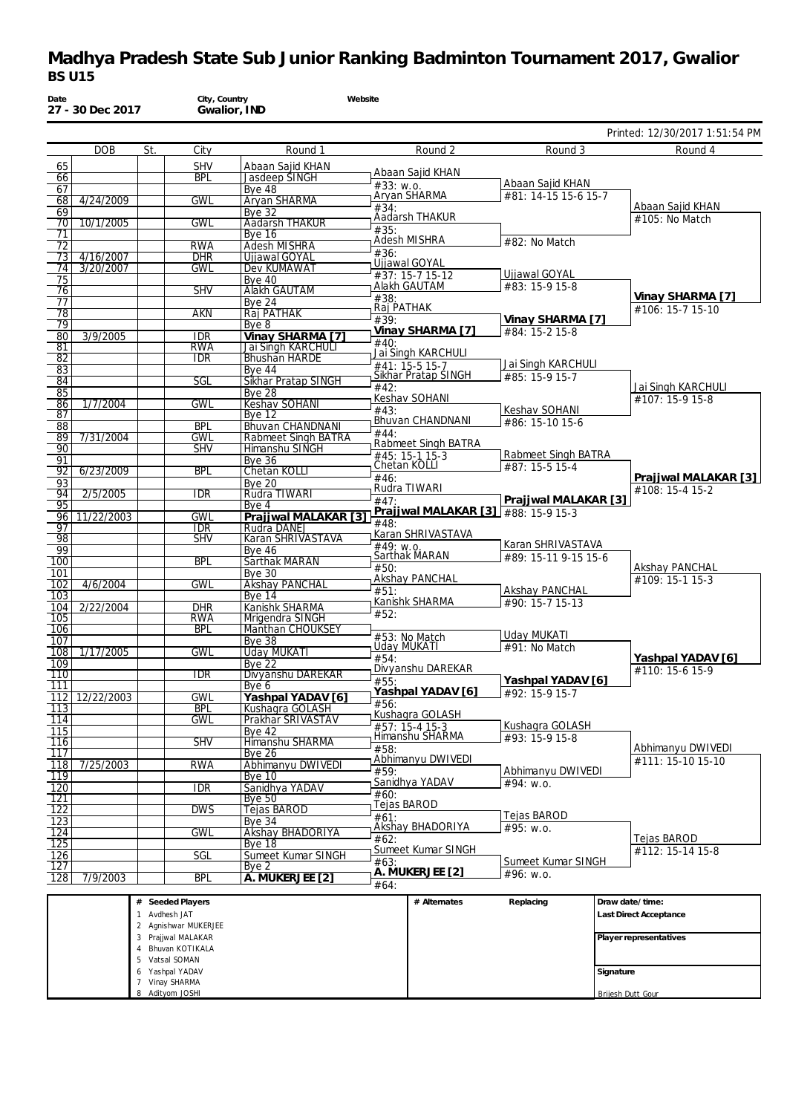|                         |                |                          |                                                       |                                             |                                       | Printed: 12/30/2017 1:51:54 PM         |
|-------------------------|----------------|--------------------------|-------------------------------------------------------|---------------------------------------------|---------------------------------------|----------------------------------------|
|                         | <b>DOB</b>     | City<br>St.              | Round 1                                               | Round 2                                     | Round 3                               | Round 4                                |
| 65                      |                | <b>SHV</b>               | Abaan Sajid KHAN                                      | Abaan Sajid KHAN                            |                                       |                                        |
| 66                      |                | <b>BPL</b>               | <b>Jasdeep SINGH</b>                                  | #33: w.o.                                   | Abaan Sajid KHAN                      |                                        |
| 67<br>68                | 4/24/2009      | <b>GWL</b>               | Bye 48<br>Aryan SHARMA                                | Aryan SHARMA                                | #81: 14-15 15-6 15-7                  |                                        |
| 69                      |                |                          | <b>Bye 32</b>                                         | #34:<br>Aadarsh THAKUR                      |                                       | Abaan Sajid KHAN                       |
| 70                      | 10/1/2005      | <b>GWL</b>               | <b>Aadarsh THAKUR</b>                                 | #35:                                        |                                       | #105: No Match                         |
| 71<br>72                |                | <b>RWA</b>               | <b>Bye 16</b><br>Adesh MISHRA                         | Adesh MISHRA                                | #82: No Match                         |                                        |
| 73                      | 4/16/2007      | <b>DHR</b>               | <b>Ujjawal GOYAL</b>                                  | #36:                                        |                                       |                                        |
| 74                      | 3/20/2007      | <b>GWL</b>               | Dev KUMAWAT                                           | Ujjawal GOYAL<br>#37: 15-7 15-12            | Ujjawal GOYAL                         |                                        |
| 75<br>76                |                | <b>SHV</b>               | <b>Bye 40</b><br><b>Alakh GAUTAM</b>                  | Alakh GAUTAM                                | #83: 15-9 15-8                        |                                        |
| 77                      |                |                          | <b>Bye 24</b>                                         | #38:                                        |                                       | Vinay SHARMA [7]                       |
| 78                      |                | <b>AKN</b>               | Raj PATHAK                                            | Raj PATHAK<br>#39:                          | Vinay SHARMA [7]                      | #106: 15-7 15-10                       |
| 79                      |                |                          | Bye 8                                                 | Vinay SHARMA [7]                            | #84: 15-2 15-8                        |                                        |
| 80<br>81                | 3/9/2005       | <b>IDR</b><br><b>RWA</b> | Vinay SHARMA [7]<br><b>Jai Singh KARCHULI</b>         | #40:                                        |                                       |                                        |
| 82                      |                | <b>IDR</b>               | <b>Bhushan HARDE</b>                                  | Jai Singh KARCHULI                          | Jai Singh KARCHULI                    |                                        |
| 83                      |                |                          | <b>Bye 44</b>                                         | #41: 15-5 15-7<br>Sikhar Pratap SINGH       | #85: 15-9 15-7                        |                                        |
| 84<br>85                |                | SGL                      | <b>Sikhar Pratap SINGH</b><br><b>Bye 28</b>           | #42:                                        |                                       | Jai Singh KARCHULI                     |
| 86                      | 1/7/2004       | <b>GWL</b>               | Keshav SOHANI                                         | Keshav SOHANI                               |                                       | #107: 15-9 15-8                        |
| 87                      |                |                          | Bye $12$                                              | #43:<br>Bhuvan CHANDNANI                    | Keshav SOHANI<br>#86: 15-10 15-6      |                                        |
| 88<br>89                | 7/31/2004      | <b>BPL</b><br><b>GWL</b> | <b>Bhuvan CHANDNANI</b><br><b>Rabmeet Singh BATRA</b> | #44:                                        |                                       |                                        |
| 90                      |                | <b>SHV</b>               | Himanshu SINGH                                        | Rabmeet Singh BATRA                         |                                       |                                        |
| 91                      |                |                          | <b>Bye 36</b>                                         | #45: 15-1 15-3<br>Chetan KOLLI              | Rabmeet Singh BATRA<br>#87: 15-5 15-4 |                                        |
| 92                      | 6/23/2009      | <b>BPL</b>               | <b>Chetan KOLLI</b>                                   | #46:                                        |                                       | Prajjwal MALAKAR [3]                   |
| 93<br>94                | 2/5/2005       | <b>IDR</b>               | <b>Bye 20</b><br>Rudra TIWARI                         | Rudra TIWARI                                |                                       | #108: 15-4 15-2                        |
| 95                      |                |                          | Bye 4                                                 | #47:                                        | Prajjwal MALAKAR [3]                  |                                        |
| 96                      | 11/22/2003     | <b>GWL</b>               | Prajjwal MALAKAR [3]                                  | Prajiwal MALAKAR [3] #88: 15-9 15-3<br>#48: |                                       |                                        |
| 97<br>98                |                | <b>IDR</b><br><b>SHV</b> | Rudra DANEJ<br>Karan SHRIVASTAVA                      | Karan SHRIVASTAVA                           |                                       |                                        |
| 99                      |                |                          | <b>Bye 46</b>                                         | #49: W.0.<br>Sarthak MARAN                  | Karan SHRIVASTAVA                     |                                        |
| 100                     |                | <b>BPL</b>               | <b>Sarthak MARAN</b>                                  | #50:                                        | #89: 15-11 9-15 15-6                  | Akshay PANCHAL                         |
| 101<br>102              | 4/6/2004       | <b>GWL</b>               | Bye $30$<br><b>Akshay PANCHAL</b>                     | Akshay PANCHAL                              |                                       | #109: 15-1 15-3                        |
| 103                     |                |                          | <b>Bye 14</b>                                         | #51:                                        | <b>Akshay PANCHAL</b>                 |                                        |
| 104                     | 2/22/2004      | <b>DHR</b>               | Kanishk SHARMA                                        | Kanishk SHARMA<br>#52:                      | #90: 15-7 15-13                       |                                        |
| 105<br>106              |                | RWA<br><b>BPL</b>        | Mrigendra SINGH<br><b>Manthan CHOUKSEY</b>            |                                             |                                       |                                        |
| 107                     |                |                          | <b>Bye 38</b>                                         | #53: No Match                               | Uday MUKATI                           |                                        |
| 108                     | 1/17/2005      | <b>GWL</b>               | <b>Uday MUKATI</b>                                    | Uday MUKATI<br>#54:                         | #91: No Match                         | Yashpal YADAV [6]                      |
| 109<br>$\overline{110}$ |                | <b>IDR</b>               | Bye 22<br>Divyanshu DAREKAR                           | Divyanshu DAREKAR                           |                                       | #110: 15-6 15-9                        |
| 111                     |                |                          | Bye 6                                                 | #55:                                        | Yashpal YADAV [6]                     |                                        |
|                         | 112 12/22/2003 | <b>GWL</b>               | Yashpal YADAV [6]                                     | Yashpal YADAV [6]<br>#56:                   | #92: 15-9 15-7                        |                                        |
| 113                     |                | <b>BPL</b>               | Kushagra GOLASH                                       | Kushagra GOLASH                             |                                       |                                        |
| 114<br>$\overline{115}$ |                | GWL                      | Prakhar SRIVASTAV<br><b>Bye 42</b>                    | $#57: 15-415-3$                             | Kushagra GOLASH                       |                                        |
| 116                     |                | <b>SHV</b>               | Himanshu SHARMA                                       | Himanshu SHARMA                             | #93: 15-9 15-8                        |                                        |
| 117                     |                |                          | Bye 26                                                | #58:<br>Abhimanyu DWIVEDI                   |                                       | Abhimanyu DWIVEDI<br>#111: 15-10 15-10 |
| 118<br>119              | 7/25/2003      | <b>RWA</b>               | Abhimanyu DWIVEDI<br><b>Bye 10</b>                    | #59:                                        | Abhimanyu DWIVEDI                     |                                        |
| 120                     |                | IDR                      | Sanidhya YADAV                                        | Sanidhya YADAV                              | #94: w.o.                             |                                        |
| 121                     |                |                          | <b>Bye 50</b>                                         | #60:<br>Tejas BAROD                         |                                       |                                        |
| $\overline{122}$<br>123 |                | <b>DWS</b>               | Tejas BAROD<br><b>Bve 34</b>                          | #61:                                        | Tejas BAROD                           |                                        |
| 124                     |                | <b>GWL</b>               | Akshay BHADORIYA                                      | Akshay BHADORIYA                            | #95: w.o.                             |                                        |
| 125                     |                |                          | Bye 18                                                | #62:<br>Sumeet Kumar SINGH                  |                                       | Tejas BAROD<br>#112: 15-14 15-8        |
| 126                     |                | SGL                      | Sumeet Kumar SINGH                                    | #63:                                        | Sumeet Kumar SINGH                    |                                        |
| 127<br>128              | 7/9/2003       | <b>BPL</b>               | Bye 2<br>A. MUKERJEE [2]                              | A. MUKERJEE [2]<br>#64:                     | #96: w.o.                             |                                        |

|                               | . |                        |
|-------------------------------|---|------------------------|
| Avdhesh JAT                   |   | Last Direct Acceptance |
| Agnishwar MUKERJEE            |   |                        |
| Prajiwal MALAKAR<br>3         |   | Player representatives |
| Bhuvan KOTIKALA               |   |                        |
| 5 Vatsal SOMAN                |   |                        |
| Yashpal YADAV<br><sub>6</sub> |   | Signature              |
| Vinay SHARMA                  |   |                        |
| 8 Adityom JOSHI               |   | Brijesh Dutt Gour      |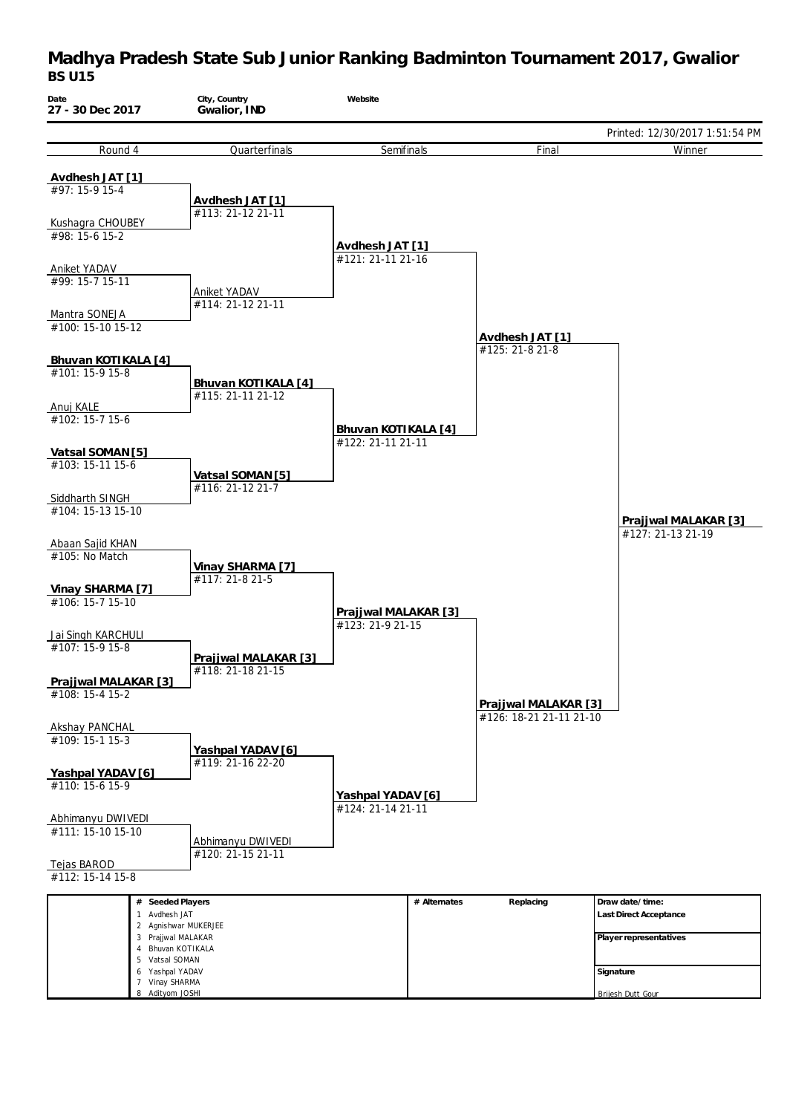| Date<br>27 - 30 Dec 2017                             | City, Country<br>Gwalior, IND             | Website                                  |              |                                                 |                                           |
|------------------------------------------------------|-------------------------------------------|------------------------------------------|--------------|-------------------------------------------------|-------------------------------------------|
|                                                      |                                           |                                          |              |                                                 | Printed: 12/30/2017 1:51:54 PM            |
| Round 4                                              | Quarterfinals                             | Semifinals                               |              | Final                                           | Winner                                    |
| Avdhesh JAT [1]<br>#97: 15-9 15-4                    | Avdhesh JAT [1]<br>#113: 21-12 21-11      |                                          |              |                                                 |                                           |
| Kushagra CHOUBEY                                     |                                           |                                          |              |                                                 |                                           |
| #98: 15-6 15-2                                       |                                           | Avdhesh JAT [1]<br>#121: 21-11 21-16     |              |                                                 |                                           |
| <b>Aniket YADAV</b>                                  |                                           |                                          |              |                                                 |                                           |
| #99: 15-7 15-11                                      | Aniket YADAV<br>#114: 21-12 21-11         |                                          |              |                                                 |                                           |
| Mantra SONEJA<br>#100: 15-10 15-12                   |                                           |                                          |              |                                                 |                                           |
| Bhuvan KOTIKALA [4]                                  |                                           |                                          |              | Avdhesh JAT [1]<br>#125: 21-8 21-8              |                                           |
| #101: 15-9 15-8                                      |                                           |                                          |              |                                                 |                                           |
| Anuj KALE                                            | Bhuvan KOTIKALA [4]<br>#115: 21-11 21-12  |                                          |              |                                                 |                                           |
| #102: 15-7 15-6                                      |                                           | Bhuvan KOTIKALA [4]<br>#122: 21-11 21-11 |              |                                                 |                                           |
| Vatsal SOMAN [5]                                     |                                           |                                          |              |                                                 |                                           |
| #103: 15-11 15-6                                     | Vatsal SOMAN [5]<br>#116: 21-12 21-7      |                                          |              |                                                 |                                           |
| Siddharth SINGH<br>#104: 15-13 15-10                 |                                           |                                          |              |                                                 | Prajjwal MALAKAR [3]                      |
| Abaan Sajid KHAN<br>#105: No Match                   |                                           |                                          |              |                                                 | #127: 21-13 21-19                         |
| Vinay SHARMA [7]                                     | Vinay SHARMA [7]<br>#117: 21-8 21-5       |                                          |              |                                                 |                                           |
| #106: 15-7 15-10                                     |                                           | Prajjwal MALAKAR [3]                     |              |                                                 |                                           |
| Jai Singh KARCHULI<br>#107: 15-9 15-8                |                                           | #123: 21-9 21-15                         |              |                                                 |                                           |
| Prajjwal MALAKAR [3]                                 | Prajjwal MALAKAR [3]<br>#118: 21-18 21-15 |                                          |              |                                                 |                                           |
| #108: 15-4 15-2                                      |                                           |                                          |              | Prajjwal MALAKAR [3]<br>#126: 18-21 21-11 21-10 |                                           |
| <b>Akshay PANCHAL</b><br>#109: 15-1 15-3             | Yashpal YADAV [6]                         |                                          |              |                                                 |                                           |
| Yashpal YADAV [6]<br>#110: 15-6 15-9                 | #119: 21-16 22-20                         |                                          |              |                                                 |                                           |
|                                                      |                                           | Yashpal YADAV [6]<br>#124: 21-14 21-11   |              |                                                 |                                           |
| Abhimanyu DWIVEDI<br>#111: 15-10 15-10               | Abhimanyu DWIVEDI                         |                                          |              |                                                 |                                           |
| Tejas BAROD<br>#112: 15-14 15-8                      | #120: 21-15 21-11                         |                                          |              |                                                 |                                           |
| # Seeded Players<br>1 Avdhesh JAT                    |                                           |                                          | # Alternates | Replacing                                       | Draw date/time:<br>Last Direct Acceptance |
| 3 Prajjwal MALAKAR<br>4 Bhuvan KOTIKALA              | 2 Agnishwar MUKERJEE                      |                                          |              |                                                 | Player representatives                    |
| 5 Vatsal SOMAN                                       |                                           |                                          |              |                                                 |                                           |
| 6 Yashpal YADAV<br>7 Vinay SHARMA<br>8 Adityom JOSHI |                                           |                                          |              |                                                 | Signature<br><b>Brijesh Dutt Gour</b>     |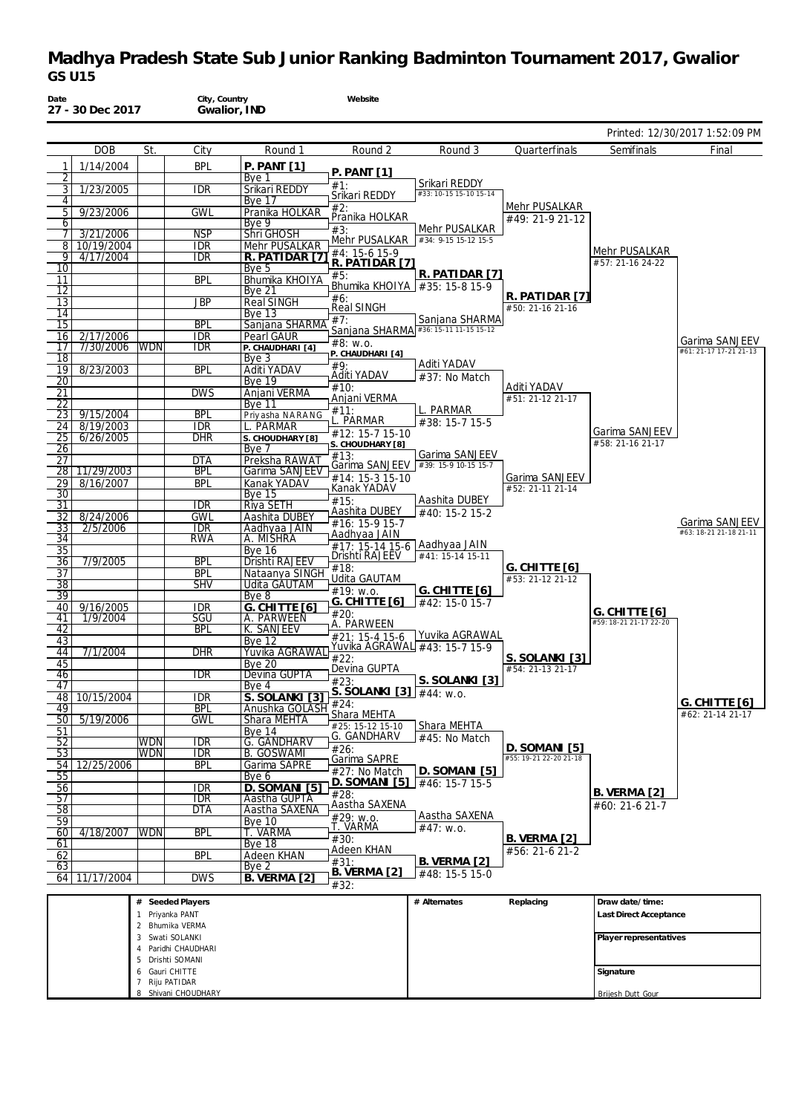| Date                  | 27 - 30 Dec 2017        |                   | City, Country<br>Gwalior, IND          |                                    | Website                                |                                                         |                                     |                                         |                                          |
|-----------------------|-------------------------|-------------------|----------------------------------------|------------------------------------|----------------------------------------|---------------------------------------------------------|-------------------------------------|-----------------------------------------|------------------------------------------|
|                       |                         |                   |                                        |                                    |                                        |                                                         |                                     |                                         | Printed: 12/30/2017 1:52:09 PM           |
|                       | <b>DOB</b>              | St.               | City                                   | Round 1                            | Round 2                                | Round 3                                                 | Quarterfinals                       | Semifinals                              | Final                                    |
| 1                     | 1/14/2004               |                   | <b>BPL</b>                             | P. PAMT[1]                         | $P.$ PANT [1]                          |                                                         |                                     |                                         |                                          |
| 2                     |                         |                   |                                        | Bye 1                              | #1:                                    | Srikari REDDY                                           |                                     |                                         |                                          |
| 3<br>4                | 1/23/2005               |                   | <b>IDR</b>                             | Srikari REDDY<br><b>Bye 17</b>     | Srikari REDDY                          | #33: 10-15 15-10 15-14                                  |                                     |                                         |                                          |
| 5                     | 9/23/2006               |                   | <b>GWL</b>                             | Pranika HOLKAR                     | #2:                                    |                                                         | Mehr PUSALKAR                       |                                         |                                          |
| 6                     |                         |                   |                                        | Bye 9                              | Pranika HOLKAR<br>#3:                  | Mehr PUSALKAR                                           | #49: 21-9 21-12                     |                                         |                                          |
| 7<br>8                | 3/21/2006<br>10/19/2004 |                   | <b>NSP</b><br><b>IDR</b>               | <b>Shri GHOSH</b><br>Mehr PUSALKAR | Mehr PUSALKAR                          | #34: 9-15 15-12 15-5                                    |                                     |                                         |                                          |
| 9                     | 4/17/2004               |                   | IDR                                    | R. PATIDAR [7]                     | #4: 15-6 15-9                          |                                                         |                                     | Mehr PUSALKAR                           |                                          |
| 10                    |                         |                   |                                        | Bye 5                              | R. PATIDAR [7]                         | R. PATIDAR [7]                                          |                                     | #57: 21-16 24-22                        |                                          |
| 11                    |                         |                   | <b>BPL</b>                             | Bhumika KHOIYA                     | #5:<br>Bhumika KHOIYA   #35: 15-8 15-9 |                                                         |                                     |                                         |                                          |
| 12<br>13              |                         |                   | <b>JBP</b>                             | Bye 21<br><b>Real SINGH</b>        | #6:                                    |                                                         | R. PATIDAR [7]                      |                                         |                                          |
| 14                    |                         |                   |                                        | <b>Bye 13</b>                      | Real SINGH                             |                                                         | #50: 21-16 21-16                    |                                         |                                          |
| 15                    |                         |                   | <b>BPL</b>                             | Sanjana SHARMA                     | #7:                                    | Sanjana SHARMA<br>Sanjana SHARMA #36: 15-11 11-15 15-12 |                                     |                                         |                                          |
| 16<br>17              | 2/17/2006<br>7/30/2006  | <b>WDN</b>        | <b>IDR</b><br><b>IDR</b>               | Pearl GAUR<br>P. CHAUDHARI [4]     | #8: w.o.                               |                                                         |                                     |                                         | Garima SANJEEV                           |
| 18                    |                         |                   |                                        | Bye 3                              | P. CHAUDHARI [4]                       |                                                         |                                     |                                         | #61: 21-17 17-21 21-13                   |
| 19                    | 8/23/2003               |                   | <b>BPL</b>                             | Aditi YADAV                        | #9.<br>Aditi YADAV                     | Aditi YADAV<br>#37: No Match                            |                                     |                                         |                                          |
| $\overline{20}$       |                         |                   |                                        | <b>Bye 19</b>                      | #10:                                   |                                                         | Aditi YADAV                         |                                         |                                          |
| 21<br>22              |                         |                   | <b>DWS</b>                             | Anjani VERMA<br><b>Bye 11</b>      | Anjani VERMA                           |                                                         | #51: 21-12 21-17                    |                                         |                                          |
| 23                    | 9/15/2004               |                   | <b>BPL</b>                             | Priyasha NARANG                    | #11:                                   | L. PARMAR                                               |                                     |                                         |                                          |
| 24                    | 8/19/2003               |                   | <b>IDR</b>                             | L. PARMAR                          | L. PARMAR<br>#12: 15-7 15-10           | #38: 15-7 15-5                                          |                                     | Garima SANJEEV                          |                                          |
| 25<br>26              | 6/26/2005               |                   | dhr                                    | S. CHOUDHARY [8]<br>Bye 7          | S. CHOUDHARY [8]                       |                                                         |                                     | #58: 21-16 21-17                        |                                          |
| 27                    |                         |                   | <b>DTA</b>                             | Preksha RAWA1                      | #13:                                   | Garima SANJEEV                                          |                                     |                                         |                                          |
| 28                    | 11/29/2003              |                   | <b>BPL</b>                             | Garima SANJEEV                     | #14: 15-3 15-10                        | Garima SANJEEV #39: 15-9 10-15 15-7                     | Garima SANJEEV                      |                                         |                                          |
| 29                    | 8/16/2007               |                   | <b>BPL</b>                             | Kanak YADAV                        | Kanak YADAV                            |                                                         | #52: 21-11 21-14                    |                                         |                                          |
| 30<br>$\overline{31}$ |                         |                   | $\overline{\text{IDR}}$                | <b>Bye 15</b><br><b>Riya SETH</b>  | #15:                                   | Aashita DUBEY                                           |                                     |                                         |                                          |
| 32                    | 8/24/2006               |                   | <b>GWL</b>                             | Aashita DUBEY                      | Aashita DUBEY                          | #40: 15-2 15-2                                          |                                     |                                         |                                          |
| $\overline{33}$       | 2/5/2006                |                   | <b>IDR</b>                             | Aadhyaa JAIN                       | #16: 15-9 15-7<br>Aadhyaa JAIN         |                                                         |                                     |                                         | Garima SANJEEV<br>#63: 18-21 21-18 21-11 |
| $\overline{34}$       |                         |                   | <b>RWA</b>                             | A. MISHRA<br>$Bye$ 16              | #17: 15-14 15-6 Aadhyaa JAIN           |                                                         |                                     |                                         |                                          |
| 35<br>36              | 7/9/2005                |                   | <b>BPL</b>                             | Drishti RAJEEV                     | Drishti RAJEEV                         | #41: 15-14 15-11                                        |                                     |                                         |                                          |
| $\overline{37}$       |                         |                   | <b>BPL</b>                             | Nataanya SINGH                     | #18:<br>Udita GAUTAM                   |                                                         | G. CHITTE $[6]$<br>#53: 21-12 21-12 |                                         |                                          |
| $\overline{38}$       |                         |                   | <b>SHV</b>                             | <b>Udita GAUTAM</b>                | #19: w.o.                              | G. CHITTE $[6]$                                         |                                     |                                         |                                          |
| 39<br>40              | 9/16/2005               |                   | IDR                                    | Bye 8<br><b>G. CHITTE [6]</b>      | G. CHITTE [6]                          | #42: 15-0 15-7                                          |                                     |                                         |                                          |
| 41                    | 1/9/2004                |                   | SGU                                    | A. PARWEEN                         | #20:                                   |                                                         |                                     | G. CHITTE [6]<br>#59: 18-21 21-17 22-20 |                                          |
| 42                    |                         |                   | <b>BPL</b>                             | K. SANJEEV                         | A. PARWEEN<br>#21: 15-4 15-6           | Yuvika AGRAWAL                                          |                                     |                                         |                                          |
| 43<br>44              | 7/1/2004                |                   | <b>DHR</b>                             | <b>Bye 12</b><br>Yuvika AGRAWAL    | Yuvika AGRAWAL #43: 15-7 15-9          |                                                         |                                     |                                         |                                          |
| 45                    |                         |                   |                                        | <b>Bye 20</b>                      | #22:                                   |                                                         | S. SOLANKI [3]                      |                                         |                                          |
| 46                    |                         |                   | <b>IDR</b>                             | Devina GUPTA                       | Devina GUPTA<br>#23:                   |                                                         | #54: 21-13 21-17                    |                                         |                                          |
| 47                    |                         |                   |                                        | Bye 4                              | S. SOLANKI [3] #44: w.o.               | S. SOLANKI [3]                                          |                                     |                                         |                                          |
| 48<br>49              | 10/15/2004              |                   | <b>IDR</b><br><b>BPL</b>               | S. SOLANKI [3]<br>Anushka GOLASH   | #24:                                   |                                                         |                                     |                                         | <u>G. CHITTE</u> [6]                     |
| 50                    | 5/19/2006               |                   | <b>GWL</b>                             | Shara MEHTA                        | Shara MEHTA<br>#25: 15-12 15-10        |                                                         |                                     |                                         | #62: 21-14 21-17                         |
| 51                    |                         |                   |                                        | <b>Bye 14</b>                      | G. GANDHARV                            | Shara MEHTA<br>#45: No Match                            |                                     |                                         |                                          |
| 52<br>$\overline{53}$ |                         | WDN<br><b>WDN</b> | idr<br>$\overline{\text{IDR}}$         | G. GANDHARV<br><b>B. GOSWAMI</b>   | #26:                                   |                                                         | D. SOMANI [5]                       |                                         |                                          |
| 54                    | 12/25/2006              |                   | <b>BPL</b>                             | Garima SAPRE                       | Garima SAPRE                           |                                                         | #55: 19-21 22-20 21-18              |                                         |                                          |
| 55                    |                         |                   |                                        | Bye 6                              | #27: No Match<br>$D.$ SOMANI $[5]$     | <u>D. SOMANI [5]</u><br>#46: 15-7 15-5                  |                                     |                                         |                                          |
| 56                    |                         |                   | idr                                    | D. SOMANI [5]                      | #28:                                   |                                                         |                                     | <b>B. VERMA [2]</b>                     |                                          |
| 57<br>58              |                         |                   | $\overline{\text{IDR}}$<br><b>DTA</b>  | Aastha GUPTA<br>Aastha SAXENA      | Aastha SAXENA                          |                                                         |                                     | #60: 21-6 21-7                          |                                          |
| 59                    |                         |                   |                                        | <b>Bye 10</b>                      | #29: w.o.                              | Aastha SAXENA                                           |                                     |                                         |                                          |
| 60                    | 4/18/2007               | <b>WDN</b>        | <b>BPL</b>                             | T. VARMA                           | T. VARMA<br>#30:                       | #47: W.0.                                               | <b>B. VERMA [2]</b>                 |                                         |                                          |
| 61<br>62              |                         |                   | <b>BPL</b>                             | Bye 18<br><b>Adeen KHAN</b>        | Adeen KHAN                             |                                                         | #56: 21-6 21-2                      |                                         |                                          |
| 63                    |                         |                   |                                        | Bye 2                              | #31:                                   | <b>B. VERMA [2]</b>                                     |                                     |                                         |                                          |
|                       | 64 11/17/2004           |                   | <b>DWS</b>                             | <b>B. VERMA [2]</b>                | <b>B. VERMA [2]</b><br>#32:            | #48: 15-5 15-0                                          |                                     |                                         |                                          |
|                       |                         |                   | # Seeded Players                       |                                    |                                        | # Alternates                                            | Replacing                           | Draw date/time:                         |                                          |
|                       |                         |                   | 1 Priyanka PANT                        |                                    |                                        |                                                         |                                     | Last Direct Acceptance                  |                                          |
|                       |                         |                   | 2 Bhumika VERMA                        |                                    |                                        |                                                         |                                     |                                         |                                          |
|                       |                         |                   | 3 Swati SOLANKI<br>4 Paridhi CHAUDHARI |                                    |                                        |                                                         |                                     | Player representatives                  |                                          |
|                       |                         |                   | 5 Drishti SOMANI                       |                                    |                                        |                                                         |                                     |                                         |                                          |
|                       |                         |                   | 6 Gauri CHITTE                         |                                    |                                        |                                                         |                                     | Signature                               |                                          |
|                       |                         |                   | 7 Riju PATIDAR<br>8 Shivani CHOUDHARY  |                                    |                                        |                                                         |                                     | Brijesh Dutt Gour                       |                                          |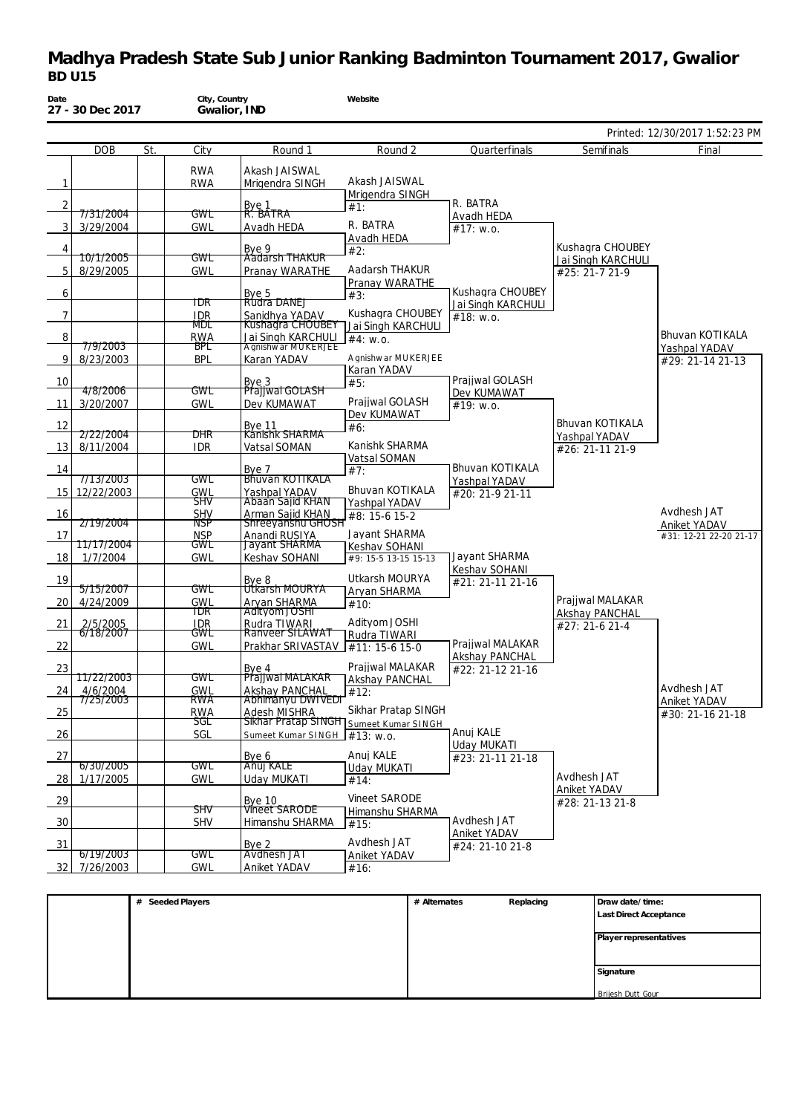| Date           | 27 - 30 Dec 2017              |     | City, Country<br>Gwalior, IND |                                      | Website                                                       |                                        |                                      |                                |
|----------------|-------------------------------|-----|-------------------------------|--------------------------------------|---------------------------------------------------------------|----------------------------------------|--------------------------------------|--------------------------------|
|                |                               |     |                               |                                      |                                                               |                                        |                                      | Printed: 12/30/2017 1:52:23 PM |
|                | <b>DOB</b>                    | St. | City                          | Round 1                              | Round 2                                                       | Quarterfinals                          | Semifinals                           | Final                          |
|                |                               |     | <b>RWA</b>                    | Akash JAISWAL                        |                                                               |                                        |                                      |                                |
| $\mathbf{1}$   |                               |     | <b>RWA</b>                    | Mrigendra SINGH                      | Akash JAISWAL                                                 |                                        |                                      |                                |
| $\overline{2}$ |                               |     |                               |                                      | Mrigendra SINGH<br>#1:                                        | R. BATRA                               |                                      |                                |
|                | 7/31/2004                     |     | GWL                           | Bye 1<br>R. BATRA                    | R. BATRA                                                      | Avadh HEDA                             |                                      |                                |
| 3              | 3/29/2004                     |     | <b>GWL</b>                    | Avadh HEDA                           | Avadh HEDA                                                    | #17: W.0.                              |                                      |                                |
| 4              |                               |     |                               | Bye 9<br>Aadarsh THAKUR              | #2:                                                           |                                        | Kushagra CHOUBEY                     |                                |
| 5              | <u>10/1/2005</u><br>8/29/2005 |     | GWL<br><b>GWL</b>             | Pranay WARATHE                       | Aadarsh THAKUR                                                |                                        | Jai Singh KARCHULI<br>#25: 21-7 21-9 |                                |
|                |                               |     |                               |                                      | Pranay WARATHE                                                |                                        |                                      |                                |
| 6              |                               |     | TDR                           | Bye 5<br>Rudra DANEJ                 | #3:                                                           | Kushagra CHOUBEY<br>Jai Singh KARCHULI |                                      |                                |
| $\overline{7}$ |                               |     | <b>IDR</b>                    | Sanidhya YADAV<br>Kushagra CHOUBEY   | Kushagra CHOUBEY                                              | #18: W.0.                              |                                      |                                |
| 8              |                               |     | MDL<br><b>RWA</b>             | Jai Singh KARCHULI                   | Jai Singh KARCHULI                                            |                                        |                                      | <b>Bhuvan KOTIKALA</b>         |
|                | 7/9/2003                      |     | BPL                           | A gnishwar MUKERJEE                  | #4: w.o.                                                      |                                        |                                      | Yashpal YADAV                  |
| 9              | 8/23/2003                     |     | <b>BPL</b>                    | Karan YADAV                          | A gnishw ar MUKERJEE                                          |                                        |                                      | #29: 21-14 21-13               |
| 10             |                               |     |                               |                                      | Karan YADAV<br>#5:                                            | Prajiwal GOLASH                        |                                      |                                |
|                | 4/8/2006                      |     | GWL                           | Bye 3<br>Prajjwal GOLASH             |                                                               | Dev KUMAWAT                            |                                      |                                |
| 11             | 3/20/2007                     |     | <b>GWL</b>                    | Dev KUMAWAT                          | Prajiwal GOLASH<br>Dev KUMAWAT                                | #19: W.0.                              |                                      |                                |
| 12             |                               |     |                               | Bye 11<br>Kanishk SHARMA             | #6:                                                           |                                        | Bhuvan KOTIKALA                      |                                |
| 13             | 2/22/2004<br>8/11/2004        |     | DHR<br><b>IDR</b>             | Vatsal SOMAN                         | Kanishk SHARMA                                                |                                        | Yashpal YADAV<br>#26: 21-11 21-9     |                                |
|                |                               |     |                               |                                      | Vatsal SOMAN                                                  |                                        |                                      |                                |
| 14             | 7/13/2003                     |     | GWL                           | Bye 7<br><b>Bhuvan KOTIKALA</b>      | #7:                                                           | Bhuvan KOTIKALA<br>Yashpal YADAV       |                                      |                                |
| 15             | 12/22/2003                    |     | <b>GWL</b>                    | Yashpal YADAV                        | Bhuvan KOTIKALA                                               | #20: 21-9 21-11                        |                                      |                                |
| 16             |                               |     | SĦV<br><b>SHV</b>             | Abaan Sajid KHAN<br>Arman Sajid KHAN | Yashpal YADAV                                                 |                                        |                                      | Avdhesh JAT                    |
|                | 2/19/2004                     |     | NSP                           | <b>Shreeyanshu GHOSH</b>             | #8: 15-6 15-2                                                 |                                        |                                      | Aniket YADAV                   |
| -17            | 11717/2004                    |     | <b>NSP</b><br>GWL             | Anandi RUSIYA<br>Jayant SHARMA       | Jayant SHARMA                                                 |                                        |                                      | #31: 12-21 22-20 21-17         |
| 18             | 1/7/2004                      |     | <b>GWL</b>                    | Keshav SOHANI                        | Keshav SOHANI<br>#9: 15-5 13-15 15-13                         | Jayant SHARMA                          |                                      |                                |
|                |                               |     |                               |                                      | Utkarsh MOURYA                                                | Keshav SOHANI                          |                                      |                                |
| 19             | 5/15/2007                     |     | GWL                           | Bye 8<br>Utkarsh MOURYA              | Aryan SHARMA                                                  | #21: 21-11 21-16                       |                                      |                                |
| 20             | 4/24/2009                     |     | <b>GWL</b>                    | Aryan SHARMA                         | #10:                                                          |                                        | Prajiwal MALAKAR                     |                                |
| 21             |                               |     | TDR<br><b>IDR</b>             | Adityom JOSHI<br>Rudra TIWARI        | Adityom JOSHI                                                 |                                        | Akshay PANCHAL<br>#27: 21-6 21-4     |                                |
|                | 2/5/2005<br>6/18/2007         |     | GWL                           | Ranveer SILAWAT                      | Rudra TIWARI                                                  |                                        |                                      |                                |
| 22             |                               |     | <b>GWL</b>                    | Prakhar SRIVASTAV                    | #11: 15-6 15-0                                                | Prajiwal MALAKAR<br>Akshay PANCHAL     |                                      |                                |
| 23             |                               |     |                               | Bye 4                                | Prajiwal MALAKAR                                              | #22: 21-12 21-16                       |                                      |                                |
| 24             | 1172272003<br>4/6/2004        |     | GWL<br><b>GWL</b>             | Prajiwal MALAKAR<br>Akshay PANCHAL   | Akshay PANCHAL                                                |                                        |                                      | Avdhesh JAT                    |
|                | 7/25/2003                     |     | RWA                           | Abhimanyu DWIVEDI                    | #12:                                                          |                                        |                                      | Aniket YADAV                   |
| 25             |                               |     | RWA<br>ञ्ज                    | Adesh MISHRA                         | Sikhar Pratap SINGH<br>Sikhar Pratap SINGH Sumeet Kumar SINGH |                                        |                                      | #30: 21-16 21-18               |
| 26             |                               |     | SGL                           | Sumeet Kumar SINGH                   | #13: W.0.                                                     | Anuj KALE                              |                                      |                                |
|                |                               |     |                               |                                      | Anuj KALE                                                     | <b>Uday MUKATI</b>                     |                                      |                                |
| 27             | 6/30/2005                     |     | GWL                           | Bye 6<br>Anuj KALE                   | Uday MUKATI                                                   | #23: 21-11 21-18                       |                                      |                                |
| 28             | 1/17/2005                     |     | GWL                           | Uday MUKATI                          | #14:                                                          |                                        | Avdhesh JAT                          |                                |
| 29             |                               |     |                               | <b>Bye 10</b>                        | Vineet SARODE                                                 |                                        | Aniket YADAV<br>#28: 21-13 21-8      |                                |
|                |                               |     | SĦV                           | <b>Vineet SARODE</b>                 | Himanshu SHARMA                                               | Avdhesh JAT                            |                                      |                                |
| 30             |                               |     | <b>SHV</b>                    | Himanshu SHARMA                      | #15:                                                          | <b>Aniket YADAV</b>                    |                                      |                                |
| 31             |                               |     |                               | Bye 2                                | Avdhesh JAT                                                   | #24: 21-10 21-8                        |                                      |                                |
| 32             | 6/19/2003<br>7/26/2003        |     | <b>GWL</b><br><b>GWL</b>      | Avdhesh JAT<br>Aniket YADAV          | Aniket YADAV<br>#16:                                          |                                        |                                      |                                |
|                |                               |     |                               |                                      |                                                               |                                        |                                      |                                |

| # Seeded Players | # Alternates | Replacing | Draw date/time:        |
|------------------|--------------|-----------|------------------------|
|                  |              |           | Last Direct Acceptance |
|                  |              |           |                        |
|                  |              |           | Player representatives |
|                  |              |           |                        |
|                  |              |           | Signature              |
|                  |              |           |                        |
|                  |              |           | Brijesh Dutt Gour      |